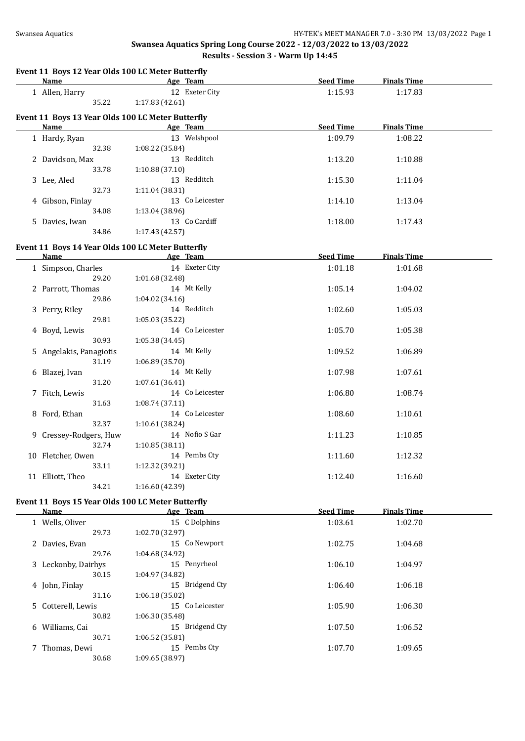|   | Event 11 Boys 12 Year Olds 100 LC Meter Butterfly<br><b>Name</b> | Age Team        | <b>Seed Time</b> | <b>Finals Time</b> |  |
|---|------------------------------------------------------------------|-----------------|------------------|--------------------|--|
|   |                                                                  | 12 Exeter City  | 1:15.93          | 1:17.83            |  |
|   | 1 Allen, Harry<br>35.22                                          | 1:17.83 (42.61) |                  |                    |  |
|   |                                                                  |                 |                  |                    |  |
|   | Event 11 Boys 13 Year Olds 100 LC Meter Butterfly                |                 |                  |                    |  |
|   | <b>Name</b>                                                      | Age Team        | <b>Seed Time</b> | <b>Finals Time</b> |  |
|   | 1 Hardy, Ryan                                                    | 13 Welshpool    | 1:09.79          | 1:08.22            |  |
|   | 32.38                                                            | 1:08.22 (35.84) |                  |                    |  |
|   | 2 Davidson, Max                                                  | 13 Redditch     | 1:13.20          | 1:10.88            |  |
|   | 33.78                                                            | 1:10.88 (37.10) |                  |                    |  |
|   | 3 Lee, Aled                                                      | 13 Redditch     | 1:15.30          | 1:11.04            |  |
|   | 32.73                                                            | 1:11.04 (38.31) |                  |                    |  |
|   | 4 Gibson, Finlay                                                 | 13 Co Leicester | 1:14.10          | 1:13.04            |  |
|   | 34.08                                                            | 1:13.04 (38.96) |                  |                    |  |
|   | 5 Davies, Iwan                                                   | 13 Co Cardiff   | 1:18.00          | 1:17.43            |  |
|   | 34.86                                                            | 1:17.43 (42.57) |                  |                    |  |
|   |                                                                  |                 |                  |                    |  |
|   | Event 11 Boys 14 Year Olds 100 LC Meter Butterfly                |                 |                  |                    |  |
|   | <b>Name</b>                                                      | Age Team        | <b>Seed Time</b> | <b>Finals Time</b> |  |
|   | 1 Simpson, Charles                                               | 14 Exeter City  | 1:01.18          | 1:01.68            |  |
|   | 29.20                                                            | 1:01.68 (32.48) |                  |                    |  |
|   | 2 Parrott, Thomas                                                | 14 Mt Kelly     | 1:05.14          | 1:04.02            |  |
|   | 29.86                                                            | 1:04.02(34.16)  |                  |                    |  |
|   | 3 Perry, Riley                                                   | 14 Redditch     | 1:02.60          | 1:05.03            |  |
|   | 29.81                                                            | 1:05.03 (35.22) |                  |                    |  |
|   | 4 Boyd, Lewis                                                    | 14 Co Leicester | 1:05.70          | 1:05.38            |  |
|   | 30.93                                                            | 1:05.38 (34.45) |                  |                    |  |
|   | 5 Angelakis, Panagiotis                                          | 14 Mt Kelly     | 1:09.52          | 1:06.89            |  |
|   | 31.19                                                            | 1:06.89 (35.70) |                  |                    |  |
|   |                                                                  | 14 Mt Kelly     |                  |                    |  |
|   | 6 Blazej, Ivan                                                   |                 | 1:07.98          | 1:07.61            |  |
|   | 31.20                                                            | 1:07.61 (36.41) |                  |                    |  |
|   | 7 Fitch, Lewis                                                   | 14 Co Leicester | 1:06.80          | 1:08.74            |  |
|   | 31.63                                                            | 1:08.74 (37.11) |                  |                    |  |
|   | 8 Ford, Ethan                                                    | 14 Co Leicester | 1:08.60          | 1:10.61            |  |
|   | 32.37                                                            | 1:10.61 (38.24) |                  |                    |  |
|   | 9 Cressey-Rodgers, Huw                                           | 14 Nofio S Gar  | 1:11.23          | 1:10.85            |  |
|   | 32.74                                                            | 1:10.85 (38.11) |                  |                    |  |
|   | 10 Fletcher, Owen                                                | 14 Pembs Cty    | 1:11.60          | 1:12.32            |  |
|   | 33.11                                                            | 1:12.32 (39.21) |                  |                    |  |
|   | 11 Elliott, Theo                                                 | 14 Exeter City  | 1:12.40          | 1:16.60            |  |
|   | 34.21                                                            | 1:16.60 (42.39) |                  |                    |  |
|   | Event 11 Boys 15 Year Olds 100 LC Meter Butterfly                |                 |                  |                    |  |
|   | <b>Name</b>                                                      | Age Team        | <b>Seed Time</b> | <b>Finals Time</b> |  |
|   |                                                                  | 15 C Dolphins   |                  |                    |  |
|   | 1 Wells, Oliver                                                  |                 | 1:03.61          | 1:02.70            |  |
|   | 29.73                                                            | 1:02.70 (32.97) |                  |                    |  |
|   | 2 Davies, Evan                                                   | 15 Co Newport   | 1:02.75          | 1:04.68            |  |
|   | 29.76                                                            | 1:04.68 (34.92) |                  |                    |  |
|   | 3 Leckonby, Dairhys                                              | 15 Penyrheol    | 1:06.10          | 1:04.97            |  |
|   | 30.15                                                            | 1:04.97 (34.82) |                  |                    |  |
|   | 4 John, Finlay                                                   | 15 Bridgend Cty | 1:06.40          | 1:06.18            |  |
|   | 31.16                                                            | 1:06.18 (35.02) |                  |                    |  |
|   | 5 Cotterell, Lewis                                               | 15 Co Leicester | 1:05.90          | 1:06.30            |  |
|   | 30.82                                                            | 1:06.30 (35.48) |                  |                    |  |
| 6 | Williams, Cai                                                    | 15 Bridgend Cty | 1:07.50          | 1:06.52            |  |
|   | 30.71                                                            | 1:06.52 (35.81) |                  |                    |  |
|   | 7 Thomas, Dewi                                                   | 15 Pembs Cty    | 1:07.70          | 1:09.65            |  |
|   | 30.68                                                            | 1:09.65 (38.97) |                  |                    |  |
|   |                                                                  |                 |                  |                    |  |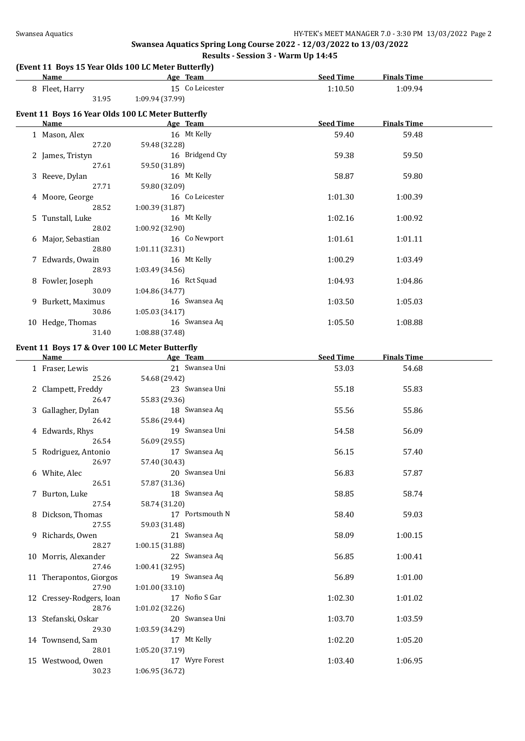#### **(Event 11 Boys 15 Year Olds 100 LC Meter Butterfly)**

| <u>Name</u>                                               |                 | Age Team        | <b>Seed Time</b> | <b>Finals Time</b> |  |
|-----------------------------------------------------------|-----------------|-----------------|------------------|--------------------|--|
| 8 Fleet, Harry                                            |                 | 15 Co Leicester | 1:10.50          | 1:09.94            |  |
| 31.95                                                     | 1:09.94 (37.99) |                 |                  |                    |  |
|                                                           |                 |                 |                  |                    |  |
| Event 11 Boys 16 Year Olds 100 LC Meter Butterfly<br>Name |                 | Age Team        | <b>Seed Time</b> | <b>Finals Time</b> |  |
|                                                           |                 | 16 Mt Kelly     |                  |                    |  |
| 1 Mason, Alex<br>27.20                                    | 59.48 (32.28)   |                 | 59.40            | 59.48              |  |
|                                                           |                 | 16 Bridgend Cty | 59.38            | 59.50              |  |
| 2 James, Tristyn<br>27.61                                 | 59.50 (31.89)   |                 |                  |                    |  |
| 3 Reeve, Dylan                                            |                 | 16 Mt Kelly     | 58.87            | 59.80              |  |
| 27.71                                                     | 59.80 (32.09)   |                 |                  |                    |  |
| 4 Moore, George                                           |                 | 16 Co Leicester | 1:01.30          | 1:00.39            |  |
| 28.52                                                     | 1:00.39 (31.87) |                 |                  |                    |  |
| 5 Tunstall, Luke                                          |                 | 16 Mt Kelly     | 1:02.16          | 1:00.92            |  |
| 28.02                                                     | 1:00.92 (32.90) |                 |                  |                    |  |
| 6 Major, Sebastian                                        |                 | 16 Co Newport   | 1:01.61          | 1:01.11            |  |
| 28.80                                                     | 1:01.11 (32.31) |                 |                  |                    |  |
| 7 Edwards, Owain                                          |                 | 16 Mt Kelly     | 1:00.29          | 1:03.49            |  |
| 28.93                                                     | 1:03.49 (34.56) |                 |                  |                    |  |
| 8 Fowler, Joseph                                          |                 | 16 Rct Squad    | 1:04.93          | 1:04.86            |  |
| 30.09                                                     | 1:04.86 (34.77) |                 |                  |                    |  |
| 9 Burkett, Maximus                                        |                 | 16 Swansea Aq   | 1:03.50          | 1:05.03            |  |
| 30.86                                                     | 1:05.03 (34.17) |                 |                  |                    |  |
| 10 Hedge, Thomas                                          |                 | 16 Swansea Aq   | 1:05.50          | 1:08.88            |  |
| 31.40                                                     | 1:08.88 (37.48) |                 |                  |                    |  |
| Event 11 Boys 17 & Over 100 LC Meter Butterfly            |                 |                 |                  |                    |  |
| Name                                                      |                 | Age Team        | <b>Seed Time</b> | <b>Finals Time</b> |  |
| 1 Fraser, Lewis                                           |                 | 21 Swansea Uni  | 53.03            | 54.68              |  |
| 25.26                                                     | 54.68 (29.42)   |                 |                  |                    |  |
| 2 Clampett, Freddy                                        |                 | 23 Swansea Uni  | 55.18            | 55.83              |  |
| 26.47                                                     | 55.83 (29.36)   |                 |                  |                    |  |
| 3 Gallagher, Dylan                                        |                 | 18 Swansea Aq   | 55.56            | 55.86              |  |
| 26.42                                                     | 55.86 (29.44)   |                 |                  |                    |  |
| 4 Edwards, Rhys                                           |                 | 19 Swansea Uni  | 54.58            | 56.09              |  |
| 26.54                                                     | 56.09 (29.55)   |                 |                  |                    |  |
| 5 Rodriguez, Antonio                                      |                 | 17 Swansea Aq   | 56.15            | 57.40              |  |
| 26.97                                                     | 57.40 (30.43)   |                 |                  |                    |  |
| 6 White, Alec                                             |                 | 20 Swansea Uni  | 56.83            | 57.87              |  |
| 26.51                                                     | 57.87 (31.36)   |                 |                  |                    |  |
| 7 Burton, Luke                                            |                 | 18 Swansea Aq   | 58.85            | 58.74              |  |
| 27.54                                                     | 58.74 (31.20)   |                 |                  |                    |  |
| 8 Dickson, Thomas                                         |                 | 17 Portsmouth N | 58.40            | 59.03              |  |
| 27.55                                                     | 59.03 (31.48)   |                 |                  |                    |  |
| 9 Richards, Owen                                          |                 | 21 Swansea Aq   | 58.09            | 1:00.15            |  |
| 28.27                                                     | 1:00.15 (31.88) |                 |                  |                    |  |
| 10 Morris, Alexander                                      |                 | 22 Swansea Aq   | 56.85            | 1:00.41            |  |
| 27.46                                                     | 1:00.41 (32.95) |                 |                  |                    |  |
| 11 Therapontos, Giorgos                                   |                 | 19 Swansea Aq   | 56.89            | 1:01.00            |  |
| 27.90                                                     | 1:01.00(33.10)  |                 |                  |                    |  |
| 12 Cressey-Rodgers, Ioan                                  |                 | 17 Nofio S Gar  | 1:02.30          | 1:01.02            |  |
| 28.76                                                     | 1:01.02 (32.26) |                 |                  |                    |  |
| 13 Stefanski, Oskar                                       |                 | 20 Swansea Uni  | 1:03.70          | 1:03.59            |  |
| 29.30                                                     | 1:03.59 (34.29) |                 |                  |                    |  |
| 14 Townsend, Sam                                          |                 | 17 Mt Kelly     | 1:02.20          | 1:05.20            |  |
| 28.01                                                     | 1:05.20 (37.19) |                 |                  |                    |  |
| 15 Westwood, Owen                                         | 1:06.95 (36.72) | 17 Wyre Forest  | 1:03.40          | 1:06.95            |  |
| 30.23                                                     |                 |                 |                  |                    |  |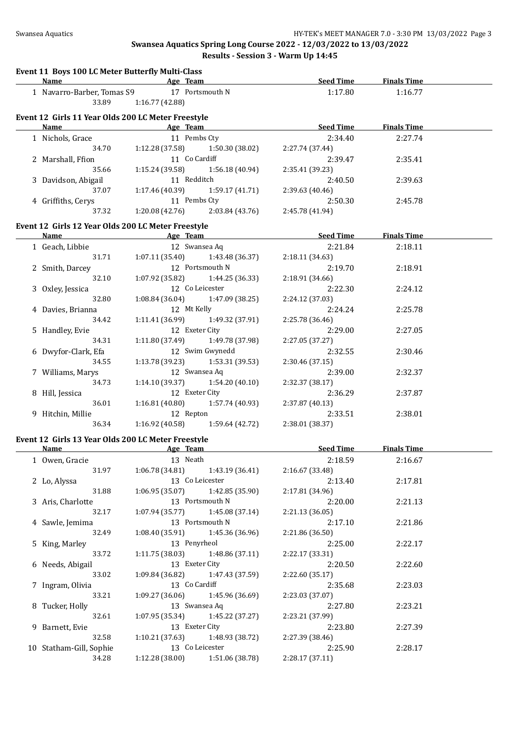| Event 11 Boys 100 LC Meter Butterfly Multi-Class   |                              |                                     |                            |                       |  |
|----------------------------------------------------|------------------------------|-------------------------------------|----------------------------|-----------------------|--|
| <b>Name</b>                                        | <b>Example 2</b> Age Team    |                                     |                            | Seed Time Finals Time |  |
| 1 Navarro-Barber, Tomas S9                         |                              | 17 Portsmouth N                     | 1:17.80                    | 1:16.77               |  |
| 33.89                                              | 1:16.77 (42.88)              |                                     |                            |                       |  |
| Event 12 Girls 11 Year Olds 200 LC Meter Freestyle |                              |                                     |                            |                       |  |
| <b>Name</b>                                        | <b>Example 2016</b> Age Team |                                     | Seed Time                  | <b>Finals Time</b>    |  |
| 1 Nichols, Grace                                   |                              | 11 Pembs Cty                        | 2:34.40                    | 2:27.74               |  |
| 34.70                                              | 1:12.28 (37.58)              | 1:50.30 (38.02)                     | 2:27.74 (37.44)            |                       |  |
| 2 Marshall, Ffion                                  |                              | 11 Co Cardiff                       | 2:39.47                    | 2:35.41               |  |
| 35.66                                              | 1:15.24(39.58)               | 1:56.18(40.94)                      | 2:35.41 (39.23)            |                       |  |
| 3 Davidson, Abigail                                | 11 Redditch                  |                                     | 2:40.50                    | 2:39.63               |  |
| 37.07                                              | 1:17.46 (40.39)              | 1:59.17 (41.71)                     | 2:39.63 (40.46)            |                       |  |
| 4 Griffiths, Cerys                                 |                              | 11 Pembs Cty                        | 2:50.30                    | 2:45.78               |  |
| 37.32                                              |                              | $1:20.08(42.76)$ $2:03.84(43.76)$   | 2:45.78 (41.94)            |                       |  |
| Event 12 Girls 12 Year Olds 200 LC Meter Freestyle |                              |                                     |                            |                       |  |
| Name                                               |                              | <b>Example 2018</b> Age Team        | <b>Example 2 Seed Time</b> | <b>Finals Time</b>    |  |
| 1 Geach, Libbie                                    |                              | 12 Swansea Aq                       | 2:21.84                    | 2:18.11               |  |
| 31.71                                              |                              | $1:07.11(35.40)$ $1:43.48(36.37)$   | 2:18.11 (34.63)            |                       |  |
| 2 Smith, Darcey                                    |                              | 12 Portsmouth N                     | 2:19.70                    | 2:18.91               |  |
| 32.10                                              |                              | $1:07.92$ (35.82) $1:44.25$ (36.33) | 2:18.91 (34.66)            |                       |  |
| 3 Oxley, Jessica                                   |                              | 12 Co Leicester                     | 2:22.30                    | 2:24.12               |  |
| 32.80                                              |                              | $1:08.84(36.04)$ $1:47.09(38.25)$   | 2:24.12 (37.03)            |                       |  |
| 4 Davies, Brianna                                  | 12 Mt Kelly                  |                                     | 2:24.24                    | 2:25.78               |  |
| 34.42                                              |                              | $1:11.41(36.99)$ $1:49.32(37.91)$   | 2:25.78 (36.46)            |                       |  |
| 5 Handley, Evie                                    |                              | 12 Exeter City                      | 2:29.00                    | 2:27.05               |  |
| 34.31                                              |                              | 1:11.80 (37.49) 1:49.78 (37.98)     | 2:27.05 (37.27)            |                       |  |
| 6 Dwyfor-Clark, Efa                                |                              | 12 Swim Gwynedd                     | 2:32.55                    | 2:30.46               |  |
| 34.55                                              |                              | $1:13.78(39.23)$ $1:53.31(39.53)$   | 2:30.46 (37.15)            |                       |  |
| 7 Williams, Marys                                  |                              | 12 Swansea Aq                       | 2:39.00                    | 2:32.37               |  |
| 34.73                                              |                              | $1:14.10(39.37)$ $1:54.20(40.10)$   | 2:32.37 (38.17)            |                       |  |
| 8 Hill, Jessica                                    |                              | 12 Exeter City                      | 2:36.29                    | 2:37.87               |  |
| 36.01                                              |                              | $1:16.81(40.80)$ $1:57.74(40.93)$   | 2:37.87 (40.13)            |                       |  |
| 9 Hitchin, Millie                                  | 12 Repton                    |                                     | 2:33.51                    | 2:38.01               |  |
| 36.34                                              |                              | $1:16.92(40.58)$ $1:59.64(42.72)$   | 2:38.01 (38.37)            |                       |  |
| Event 12 Girls 13 Year Olds 200 LC Meter Freestyle |                              |                                     |                            |                       |  |
| Name Age Team                                      |                              |                                     | <b>Seed Time</b>           | <b>Finals Time</b>    |  |
| 1 Owen, Gracie                                     | 13 Neath                     |                                     | 2:18.59                    | 2:16.67               |  |
| 31.97                                              | 1:06.78 (34.81)              | 1:43.19 (36.41)                     | 2:16.67 (33.48)            |                       |  |
| 2 Lo, Alyssa                                       |                              | 13 Co Leicester                     | 2:13.40                    | 2:17.81               |  |
| 31.88                                              | 1:06.95 (35.07)              | 1:42.85 (35.90)                     | 2:17.81 (34.96)            |                       |  |
| 3 Aris, Charlotte                                  |                              | 13 Portsmouth N                     | 2:20.00                    | 2:21.13               |  |
| 32.17                                              | 1:07.94 (35.77)              | 1:45.08 (37.14)                     | 2:21.13 (36.05)            |                       |  |
| 4 Sawle, Jemima                                    |                              | 13 Portsmouth N                     | 2:17.10                    | 2:21.86               |  |
|                                                    |                              |                                     |                            |                       |  |

| 9 Barnett, Evie         | 13 Exeter City |                 |  |
|-------------------------|----------------|-----------------|--|
| 32.58                   | 1:10.21(37.63) | 1:48.93 (38.72) |  |
| 10 Statham-Gill, Sophie |                | 13 Co Leicester |  |
| 34.28                   | 1:12.28(38.00) | 1:51.06 (38.78) |  |

5 King, Marley 13 Penyrheol

6 Needs, Abigail 13 Exeter City

7 Ingram, Olivia 13 Co Cardiff

8 Tucker, Holly 13 Swansea Aq

32.49 1:08.40 (35.91) 1:45.36 (36.96)

33.72 1:11.75 (38.03) 1:48.86 (37.11)

33.02 1:09.84 (36.82) 1:47.43 (37.59)

33.21 1:09.27 (36.06) 1:45.96 (36.69)

32.61 1:07.95 (35.34) 1:45.22 (37.27)

| 2:18.59         | 2:16.67 |  |
|-----------------|---------|--|
| 2:16.67 (33.48) |         |  |
| 2:13.40         | 2:17.81 |  |
| 2:17.81 (34.96) |         |  |
| 2:20.00         | 2:21.13 |  |
| 2:21.13 (36.05) |         |  |
| 2:17.10         | 2:21.86 |  |
| 2:21.86 (36.50) |         |  |
| 2:25.00         | 2:22.17 |  |
| 2:22.17 (33.31) |         |  |
| 2:20.50         | 2:22.60 |  |
| 2:22.60 (35.17) |         |  |
| 2:35.68         | 2:23.03 |  |
| 2:23.03 (37.07) |         |  |
| 2:27.80         | 2:23.21 |  |
| 2:23.21 (37.99) |         |  |
| 2:23.80         | 2:27.39 |  |
| 2:27.39 (38.46) |         |  |
| 2:25.90         | 2:28.17 |  |
| 2:28.17 (37.11) |         |  |
|                 |         |  |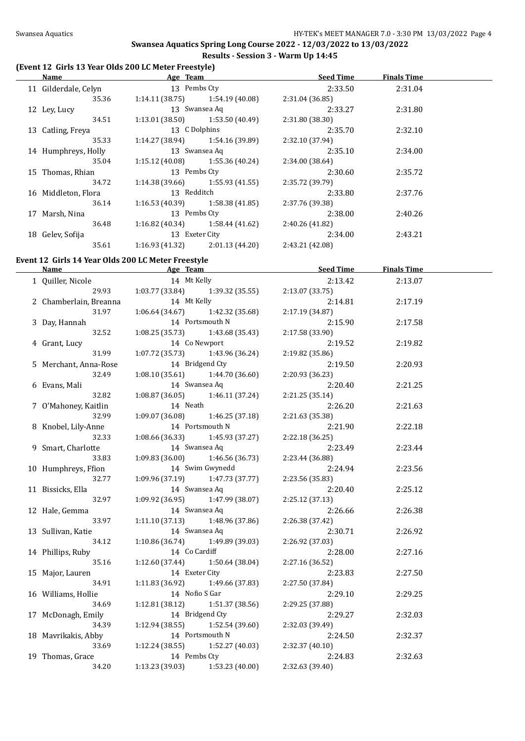## **(Event 12 Girls 13 Year Olds 200 LC Meter Freestyle)**

| Name                 | Age Team        |                                   | <b>Seed Time</b> | <b>Finals Time</b> |  |
|----------------------|-----------------|-----------------------------------|------------------|--------------------|--|
| 11 Gilderdale, Celyn | 13 Pembs Cty    |                                   | 2:33.50          | 2:31.04            |  |
| 35.36                |                 | $1:14.11(38.75)$ $1:54.19(40.08)$ | 2:31.04(36.85)   |                    |  |
| 12 Ley, Lucy         |                 | 13 Swansea Aq                     | 2:33.27          | 2:31.80            |  |
| 34.51                |                 | $1:13.01(38.50)$ $1:53.50(40.49)$ | 2:31.80(38.30)   |                    |  |
| 13 Catling, Freya    | 13 C Dolphins   |                                   | 2:35.70          | 2:32.10            |  |
| 35.33                |                 | $1:14.27(38.94)$ $1:54.16(39.89)$ | 2:32.10 (37.94)  |                    |  |
| 14 Humphreys, Holly  |                 | 13 Swansea Aq                     | 2:35.10          | 2:34.00            |  |
| 35.04                |                 | $1:15.12(40.08)$ $1:55.36(40.24)$ | 2:34.00 (38.64)  |                    |  |
| 15 Thomas, Rhian     | 13 Pembs Cty    |                                   | 2:30.60          | 2:35.72            |  |
| 34.72                |                 | $1:14.38(39.66)$ $1:55.93(41.55)$ | 2:35.72 (39.79)  |                    |  |
| 16 Middleton, Flora  | 13 Redditch     |                                   | 2:33.80          | 2:37.76            |  |
| 36.14                |                 | $1:16.53(40.39)$ $1:58.38(41.85)$ | 2:37.76 (39.38)  |                    |  |
| 17 Marsh, Nina       | 13 Pembs Cty    |                                   | 2:38.00          | 2:40.26            |  |
| 36.48                |                 | $1:16.82(40.34)$ $1:58.44(41.62)$ | 2:40.26(41.82)   |                    |  |
| 18 Gelev, Sofija     | 13 Exeter City  |                                   | 2:34.00          | 2:43.21            |  |
| 35.61                | 1:16.93 (41.32) | 2:01.13(44.20)                    | 2:43.21 (42.08)  |                    |  |

# **Event 12 Girls 14 Year Olds 200 LC Meter Freestyle**

| <u>Name</u>            | <b>Example 2018</b> Age Team <b>Age 2018</b> Age 2018 |                                     | Seed Time       | <b>Finals Time</b> |  |
|------------------------|-------------------------------------------------------|-------------------------------------|-----------------|--------------------|--|
| 1 Quiller, Nicole      | 14 Mt Kelly                                           |                                     | 2:13.42         | 2:13.07            |  |
| 29.93                  |                                                       | $1:03.77$ (33.84) $1:39.32$ (35.55) | 2:13.07(33.75)  |                    |  |
| 2 Chamberlain, Breanna | 14 Mt Kelly                                           |                                     | 2:14.81         | 2:17.19            |  |
| 31.97                  | $1:06.64(34.67)$ $1:42.32(35.68)$                     |                                     | 2:17.19(34.87)  |                    |  |
| 3 Day, Hannah          | 14 Portsmouth N                                       |                                     | 2:15.90         | 2:17.58            |  |
| 32.52                  | $1:08.25(35.73)$ $1:43.68(35.43)$                     |                                     | 2:17.58 (33.90) |                    |  |
| 4 Grant, Lucy          | 14 Co Newport                                         |                                     | 2:19.52         | 2:19.82            |  |
| 31.99                  | 1:07.72 (35.73) 1:43.96 (36.24)                       |                                     | 2:19.82 (35.86) |                    |  |
| 5 Merchant, Anna-Rose  | 14 Bridgend Cty                                       |                                     | 2:19.50         | 2:20.93            |  |
| 32.49                  | $1:08.10(35.61)$ $1:44.70(36.60)$                     |                                     | 2:20.93 (36.23) |                    |  |
| 6 Evans, Mali          | 14 Swansea Aq                                         |                                     | 2:20.40         | 2:21.25            |  |
| 32.82                  | $1:08.87(36.05)$ $1:46.11(37.24)$                     |                                     | 2:21.25 (35.14) |                    |  |
| 7 O'Mahoney, Kaitlin   | 14 Neath                                              |                                     | 2:26.20         | 2:21.63            |  |
| 32.99                  | 1:09.07 (36.08)                                       | 1:46.25 (37.18)                     | 2:21.63 (35.38) |                    |  |
| 8 Knobel, Lily-Anne    | 14 Portsmouth N                                       |                                     | 2:21.90         | 2:22.18            |  |
| 32.33                  | 1:08.66 (36.33)                                       | 1:45.93 (37.27)                     | 2:22.18(36.25)  |                    |  |
| 9 Smart, Charlotte     | 14 Swansea Aq                                         |                                     | 2:23.49         | 2:23.44            |  |
| 33.83                  | 1:09.83(36.00)                                        | 1:46.56 (36.73)                     | 2:23.44 (36.88) |                    |  |
| 10 Humphreys, Ffion    |                                                       | 14 Swim Gwynedd                     | 2:24.94         | 2:23.56            |  |
| 32.77                  | 1:09.96 (37.19)                                       | 1:47.73 (37.77)                     | 2:23.56 (35.83) |                    |  |
| 11 Bissicks, Ella      | 14 Swansea Aq                                         |                                     | 2:20.40         | 2:25.12            |  |
| 32.97                  | 1:09.92 (36.95)                                       | 1:47.99 (38.07)                     | 2:25.12(37.13)  |                    |  |
| 12 Hale, Gemma         | 14 Swansea Aq                                         |                                     | 2:26.66         | 2:26.38            |  |
| 33.97                  | 1:11.10(37.13)                                        | 1:48.96 (37.86)                     | 2:26.38 (37.42) |                    |  |
| 13 Sullivan, Katie     | 14 Swansea Aq                                         |                                     | 2:30.71         | 2:26.92            |  |
| 34.12                  | $1:10.86(36.74)$ 1:49.89 (39.03)                      |                                     | 2:26.92 (37.03) |                    |  |
| 14 Phillips, Ruby      | 14 Co Cardiff                                         |                                     | 2:28.00         | 2:27.16            |  |
| 35.16                  | 1:12.60 (37.44)                                       | 1:50.64 (38.04)                     | 2:27.16 (36.52) |                    |  |
| 15 Major, Lauren       | 14 Exeter City                                        |                                     | 2:23.83         | 2:27.50            |  |
| 34.91                  | $1:11.83$ (36.92) $1:49.66$ (37.83)                   |                                     | 2:27.50 (37.84) |                    |  |
| 16 Williams, Hollie    | 14 Nofio S Gar                                        |                                     | 2:29.10         | 2:29.25            |  |
| 34.69                  | $1:12.81(38.12)$ $1:51.37(38.56)$                     |                                     | 2:29.25 (37.88) |                    |  |
| 17 McDonagh, Emily     | 14 Bridgend Cty                                       |                                     | 2:29.27         | 2:32.03            |  |
| 34.39                  | $1:12.94(38.55)$ $1:52.54(39.60)$                     |                                     | 2:32.03 (39.49) |                    |  |
| 18 Mavrikakis, Abby    | 14 Portsmouth N                                       |                                     | 2:24.50         | 2:32.37            |  |
| 33.69                  | $1:12.24$ (38.55) $1:52.27$ (40.03)                   |                                     | 2:32.37 (40.10) |                    |  |
| 19 Thomas, Grace       | 14 Pembs Cty                                          |                                     | 2:24.83         | 2:32.63            |  |
| 34.20                  | $1:13.23(39.03)$ $1:53.23(40.00)$                     |                                     | 2:32.63 (39.40) |                    |  |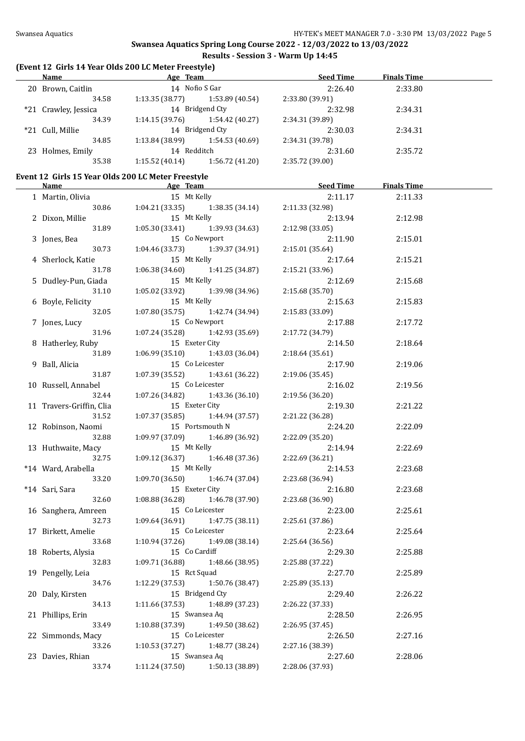### **(Event 12 Girls 14 Year Olds 200 LC Meter Freestyle)**

| <b>Name</b> |                                                                                   |                 | <b>Seed Time</b>           | <b>Finals Time</b> |  |
|-------------|-----------------------------------------------------------------------------------|-----------------|----------------------------|--------------------|--|
|             |                                                                                   |                 | 2:26.40                    | 2:33.80            |  |
| 34.58       | 1:13.35(38.77)                                                                    | 1:53.89 (40.54) | 2:33.80 (39.91)            |                    |  |
|             | 14 Bridgend Cty                                                                   |                 | 2:32.98                    | 2:34.31            |  |
| 34.39       | 1:14.15(39.76)                                                                    | 1:54.42(40.27)  | 2:34.31 (39.89)            |                    |  |
|             | 14 Bridgend Cty                                                                   |                 | 2:30.03                    | 2:34.31            |  |
| 34.85       | 1:13.84 (38.99)                                                                   | 1:54.53(40.69)  | 2:34.31 (39.78)            |                    |  |
|             | 14 Redditch                                                                       |                 | 2:31.60                    | 2:35.72            |  |
| 35.38       | 1:15.52(40.14)                                                                    | 1:56.72 (41.20) | 2:35.72 (39.00)            |                    |  |
|             | 20 Brown, Caitlin<br>*21 Crawley, Jessica<br>*21 Cull, Millie<br>23 Holmes, Emily |                 | Age Team<br>14 Nofio S Gar |                    |  |

### **Event 12 Girls 15 Year Olds 200 LC Meter Freestyle**

|                                    |                                   |                                                    | Name <b>Seed Time</b> Finals Time <b>Age Team Seed Time</b> Finals Time |         |  |
|------------------------------------|-----------------------------------|----------------------------------------------------|-------------------------------------------------------------------------|---------|--|
| 1 Martin, Olivia                   | 15 Mt Kelly                       |                                                    | 2:11.17                                                                 | 2:11.33 |  |
| 30.86                              |                                   | 1:04.21 (33.35) 1:38.35 (34.14) 2:11.33 (32.98)    |                                                                         |         |  |
| 2 Dixon, Millie                    | 15 Mt Kelly                       |                                                    | 2:13.94                                                                 | 2:12.98 |  |
| 31.89                              |                                   | $1:05.30(33.41)$ $1:39.93(34.63)$                  | 2:12.98(33.05)                                                          |         |  |
| 3 Jones, Bea                       | 15 Co Newport                     |                                                    | 2:11.90                                                                 | 2:15.01 |  |
| 30.73                              |                                   | $1:04.46(33.73)$ $1:39.37(34.91)$                  | 2:15.01(35.64)                                                          |         |  |
| 4 Sherlock, Katie                  | 15 Mt Kelly                       |                                                    | 2:17.64                                                                 | 2:15.21 |  |
| 31.78                              |                                   | $1:06.38(34.60)$ $1:41.25(34.87)$                  | 2:15.21 (33.96)                                                         |         |  |
| 5 Dudley-Pun, Giada                | 15 Mt Kelly                       |                                                    | 2:12.69                                                                 | 2:15.68 |  |
| 31.10                              |                                   | $1:05.02(33.92)$ $1:39.98(34.96)$                  | 2:15.68(35.70)                                                          |         |  |
| 6 Boyle, Felicity                  | 15 Mt Kelly                       |                                                    | 2:15.63                                                                 | 2:15.83 |  |
| 32.05                              |                                   | $1:07.80(35.75)$ $1:42.74(34.94)$                  | 2:15.83 (33.09)                                                         |         |  |
| 7 Jones, Lucy                      | 15 Co Newport                     |                                                    | 2:17.88                                                                 | 2:17.72 |  |
| 31.96                              |                                   | $1:07.24(35.28)$ $1:42.93(35.69)$                  | 2:17.72 (34.79)                                                         |         |  |
| 8 Hatherley, Ruby                  | 15 Exeter City                    |                                                    | 2:14.50                                                                 | 2:18.64 |  |
| 31.89                              |                                   | $1:06.99(35.10)$ $1:43.03(36.04)$                  | 2:18.64(35.61)                                                          |         |  |
| 9 Ball, Alicia                     | 15 Co Leicester                   |                                                    | 2:17.90                                                                 | 2:19.06 |  |
| 31.87                              |                                   | $1:07.39(35.52)$ $1:43.61(36.22)$                  | 2:19.06(35.45)                                                          |         |  |
| 10 Russell, Annabel                | 15 Co Leicester                   |                                                    | 2:16.02                                                                 | 2:19.56 |  |
| 32.44                              |                                   | $1:07.26(34.82)$ $1:43.36(36.10)$                  | 2:19.56 (36.20)                                                         |         |  |
| 11 Travers-Griffin, Clia           | 15 Exeter City                    |                                                    | 2:19.30                                                                 | 2:21.22 |  |
| 31.52                              |                                   | $1:07.37(35.85)$ $1:44.94(37.57)$                  | 2:21.22 (36.28)                                                         |         |  |
| 12 Robinson, Naomi 15 Portsmouth N |                                   |                                                    | 2:24.20                                                                 | 2:22.09 |  |
| 32.88                              |                                   | $1:09.97(37.09)$ $1:46.89(36.92)$                  | 2:22.09 (35.20)                                                         |         |  |
| 13 Huthwaite, Macy 15 Mt Kelly     |                                   |                                                    | 2:14.94                                                                 | 2:22.69 |  |
| 32.75                              | $1:09.12(36.37)$ $1:46.48(37.36)$ |                                                    | 2:22.69 (36.21)                                                         |         |  |
| *14 Ward, Arabella                 | 15 Mt Kelly                       |                                                    | 2:14.53                                                                 | 2:23.68 |  |
| 33.20                              | $1:09.70(36.50)$ $1:46.74(37.04)$ |                                                    | 2:23.68 (36.94)                                                         |         |  |
| *14 Sari, Sara                     | 15 Exeter City                    |                                                    | 2:16.80                                                                 | 2:23.68 |  |
| 32.60                              | $1:08.88(36.28)$ $1:46.78(37.90)$ |                                                    | 2:23.68 (36.90)                                                         |         |  |
| 16 Sanghera, Amreen                | 15 Co Leicester                   |                                                    | 2:23.00                                                                 | 2:25.61 |  |
| 32.73                              |                                   | $1:09.64(36.91)$ $1:47.75(38.11)$                  | 2:25.61 (37.86)                                                         |         |  |
| 17 Birkett, Amelie                 | 15 Co Leicester                   |                                                    | 2:23.64                                                                 | 2:25.64 |  |
| 33.68                              |                                   | $1:10.94(37.26)$ $1:49.08(38.14)$                  | 2:25.64 (36.56)                                                         |         |  |
| 18 Roberts, Alysia                 | 15 Co Cardiff                     |                                                    | 2:29.30                                                                 | 2:25.88 |  |
| 32.83                              |                                   | $1:09.71(36.88)$ $1:48.66(38.95)$ $2:25.88(37.22)$ |                                                                         |         |  |
| 19 Pengelly, Leia                  | 15 Rct Squad                      |                                                    | 2:27.70                                                                 | 2:25.89 |  |
| 34.76                              | 1:12.29(37.53)                    | 1:50.76 (38.47)                                    | 2:25.89 (35.13)                                                         |         |  |
| 20 Daly, Kirsten                   |                                   | 15 Bridgend Cty                                    | 2:29.40                                                                 | 2:26.22 |  |
| 34.13                              | 1:11.66 (37.53)                   | 1:48.89 (37.23)                                    | 2:26.22 (37.33)                                                         |         |  |
| 21 Phillips, Erin                  | 15 Swansea Aq                     |                                                    | 2:28.50                                                                 | 2:26.95 |  |
| 33.49                              | 1:10.88 (37.39)                   | 1:49.50 (38.62)                                    | 2:26.95 (37.45)                                                         |         |  |
| 22 Simmonds, Macy                  | 15 Co Leicester                   |                                                    | 2:26.50                                                                 | 2:27.16 |  |
| 33.26                              | 1:10.53(37.27)                    | 1:48.77 (38.24)                                    | 2:27.16 (38.39)                                                         |         |  |
| 23 Davies, Rhian                   | 15 Swansea Aq                     |                                                    | 2:27.60                                                                 | 2:28.06 |  |
| 33.74                              | 1:11.24 (37.50)                   | 1:50.13 (38.89)                                    | 2:28.06 (37.93)                                                         |         |  |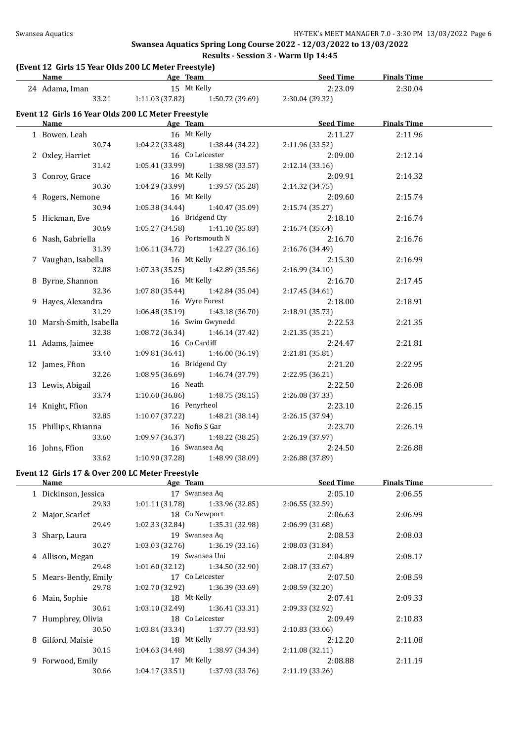## **Swansea Aquatics Spring Long Course 2022 - 12/03/2022 to 13/03/2022**

# **Results - Session 3 - Warm Up 14:45**

|         | (Event 12 Girls 15 Year Olds 200 LC Meter Freestyle) |
|---------|------------------------------------------------------|
| $N = 0$ | $A \sim \pi$                                         |

| $\mu$ and $\mu$ and $\mu$ and $\mu$ and $\mu$ and $\mu$ and $\mu$ and $\mu$ and $\mu$ and $\mu$<br>Name Age Team |                              |                                       | <u>Seed Time</u> | <b>Finals Time</b> |  |
|------------------------------------------------------------------------------------------------------------------|------------------------------|---------------------------------------|------------------|--------------------|--|
| 24 Adama, Iman 15 Mt Kelly                                                                                       |                              |                                       | 2:23.09          | 2:30.04            |  |
|                                                                                                                  |                              | 33.21 1:11.03 (37.82) 1:50.72 (39.69) | 2:30.04 (39.32)  |                    |  |
| Event 12 Girls 16 Year Olds 200 LC Meter Freestyle                                                               |                              |                                       |                  |                    |  |
| Name                                                                                                             | <b>Example 2016</b> Age Team |                                       | <u>Seed Time</u> | <b>Finals Time</b> |  |
| 1 Bowen, Leah                                                                                                    | 16 Mt Kelly                  |                                       | 2:11.27          | 2:11.96            |  |
| 30.74                                                                                                            |                              | $1:04.22$ (33.48) $1:38.44$ (34.22)   | 2:11.96 (33.52)  |                    |  |
| 2 Oxley, Harriet                                                                                                 | 16 Co Leicester              |                                       | 2:09.00          | 2:12.14            |  |
| 31.42                                                                                                            |                              | $1:05.41(33.99)$ $1:38.98(33.57)$     | 2:12.14(33.16)   |                    |  |
| 3 Conroy, Grace                                                                                                  | 16 Mt Kelly                  |                                       | 2:09.91          | 2:14.32            |  |
| 30.30                                                                                                            |                              | 1:04.29 (33.99) 1:39.57 (35.28)       | 2:14.32 (34.75)  |                    |  |
| 4 Rogers, Nemone                                                                                                 | 16 Mt Kelly                  |                                       | 2:09.60          | 2:15.74            |  |
| 30.94                                                                                                            |                              | $1:05.38(34.44)$ $1:40.47(35.09)$     | 2:15.74(35.27)   |                    |  |
| 5 Hickman, Eve                                                                                                   |                              | 16 Bridgend Cty                       | 2:18.10          | 2:16.74            |  |
| 30.69                                                                                                            |                              | $1:05.27(34.58)$ $1:41.10(35.83)$     | 2:16.74(35.64)   |                    |  |
| 6 Nash, Gabriella                                                                                                | 16 Portsmouth N              |                                       | 2:16.70          | 2:16.76            |  |
| 31.39                                                                                                            |                              | $1:06.11(34.72)$ $1:42.27(36.16)$     | 2:16.76 (34.49)  |                    |  |
| 7 Vaughan, Isabella                                                                                              | 16 Mt Kelly                  |                                       | 2:15.30          | 2:16.99            |  |
| 32.08                                                                                                            |                              | $1:07.33(35.25)$ $1:42.89(35.56)$     | 2:16.99 (34.10)  |                    |  |
| 8 Byrne, Shannon                                                                                                 | 16 Mt Kelly                  |                                       | 2:16.70          | 2:17.45            |  |
| 32.36                                                                                                            |                              | $1:07.80(35.44)$ $1:42.84(35.04)$     | 2:17.45(34.61)   |                    |  |
| 9 Hayes, Alexandra                                                                                               | 16 Wyre Forest               |                                       | 2:18.00          | 2:18.91            |  |
| 31.29                                                                                                            |                              | $1:06.48(35.19)$ $1:43.18(36.70)$     | 2:18.91 (35.73)  |                    |  |
| 10 Marsh-Smith, Isabella                                                                                         | 16 Swim Gwynedd              |                                       | 2:22.53          | 2:21.35            |  |
| 32.38                                                                                                            |                              | $1:08.72(36.34)$ $1:46.14(37.42)$     | 2:21.35(35.21)   |                    |  |
| 11 Adams, Jaimee                                                                                                 | 16 Co Cardiff                |                                       | 2:24.47          | 2:21.81            |  |
| 33.40                                                                                                            |                              | $1:09.81(36.41)$ $1:46.00(36.19)$     | 2:21.81 (35.81)  |                    |  |
| 12 James, Ffion                                                                                                  | 16 Bridgend Cty              |                                       | 2:21.20          | 2:22.95            |  |
| 32.26                                                                                                            |                              | $1:08.95(36.69)$ $1:46.74(37.79)$     | 2:22.95 (36.21)  |                    |  |
| 13 Lewis, Abigail                                                                                                | 16 Neath                     |                                       | 2:22.50          | 2:26.08            |  |
| 33.74                                                                                                            |                              | $1:10.60(36.86)$ $1:48.75(38.15)$     | 2:26.08 (37.33)  |                    |  |
| 14 Knight, Ffion                                                                                                 | 16 Penyrheol                 |                                       | 2:23.10          | 2:26.15            |  |
| 32.85                                                                                                            |                              | $1:10.07(37.22)$ $1:48.21(38.14)$     | 2:26.15 (37.94)  |                    |  |
| 15 Phillips, Rhianna                                                                                             | 16 Nofio S Gar               |                                       | 2:23.70          | 2:26.19            |  |
| 33.60                                                                                                            |                              | $1:09.97(36.37)$ $1:48.22(38.25)$     | 2:26.19 (37.97)  |                    |  |
| 16 Johns, Ffion                                                                                                  | 16 Swansea Aq                |                                       | 2:24.50          | 2:26.88            |  |
| 33.62                                                                                                            |                              | $1:10.90(37.28)$ $1:48.99(38.09)$     | 2:26.88 (37.89)  |                    |  |

# **Event 12 Girls 17 & Over 200 LC Meter Freestyle**

| Name                  | age leam        |                                     | seea Time       | rinais lime |
|-----------------------|-----------------|-------------------------------------|-----------------|-------------|
| 1 Dickinson, Jessica  |                 | 17 Swansea Aq                       | 2:05.10         | 2:06.55     |
| 29.33                 |                 | $1:01.11(31.78)$ $1:33.96(32.85)$   | 2:06.55(32.59)  |             |
| 2 Major, Scarlet      |                 | 18 Co Newport                       | 2:06.63         | 2:06.99     |
| 29.49                 |                 | $1:02.33(32.84)$ $1:35.31(32.98)$   | 2:06.99(31.68)  |             |
| 3 Sharp, Laura        | 19 Swansea Aq   |                                     | 2:08.53         | 2:08.03     |
| 30.27                 |                 | $1:03.03(32.76)$ $1:36.19(33.16)$   | 2:08.03(31.84)  |             |
| 4 Allison, Megan      | 19 Swansea Uni  |                                     | 2:04.89         | 2:08.17     |
| 29.48                 |                 | $1:01.60$ (32.12) $1:34.50$ (32.90) | 2:08.17(33.67)  |             |
| 5 Mears-Bently, Emily | 17 Co Leicester |                                     | 2:07.50         | 2:08.59     |
| 29.78                 |                 | $1:02.70(32.92)$ $1:36.39(33.69)$   | 2:08.59(32.20)  |             |
| 6 Main, Sophie        | 18 Mt Kelly     |                                     | 2:07.41         | 2:09.33     |
| 30.61                 |                 | $1:03.10(32.49)$ $1:36.41(33.31)$   | 2:09.33 (32.92) |             |
| 7 Humphrey, Olivia    | 18 Co Leicester |                                     | 2:09.49         | 2:10.83     |
| 30.50                 |                 | $1:03.84$ (33.34) $1:37.77$ (33.93) | 2:10.83(33.06)  |             |
| 8 Gilford, Maisie     | 18 Mt Kelly     |                                     | 2:12.20         | 2:11.08     |
| 30.15                 |                 | $1:04.63(34.48)$ $1:38.97(34.34)$   | 2:11.08(32.11)  |             |
| 9 Forwood, Emily      | 17 Mt Kelly     |                                     | 2:08.88         | 2:11.19     |
| 30.66                 |                 | $1:04.17(33.51)$ $1:37.93(33.76)$   | 2:11.19(33.26)  |             |

| <b>Seed Time</b> | <b>Finals Time</b> |  |
|------------------|--------------------|--|
|                  |                    |  |
| 2:05.10          | 2:06.55            |  |
| 2:06.55 (32.59)  |                    |  |
| 2:06.63          | 2:06.99            |  |
| 2:06.99 (31.68)  |                    |  |
| 2:08.53          | 2:08.03            |  |
| 2:08.03 (31.84)  |                    |  |
| 2:04.89          | 2:08.17            |  |
| 2:08.17 (33.67)  |                    |  |
| 2:07.50          | 2:08.59            |  |
| 2:08.59 (32.20)  |                    |  |
| 2:07.41          | 2:09.33            |  |
| 2:09.33 (32.92)  |                    |  |
| 2:09.49          | 2:10.83            |  |
| 2:10.83 (33.06)  |                    |  |
| 2:12.20          | 2:11.08            |  |
| 2:11.08 (32.11)  |                    |  |
| 2:08.88          | 2:11.19            |  |
| 2:11.19 (33.26)  |                    |  |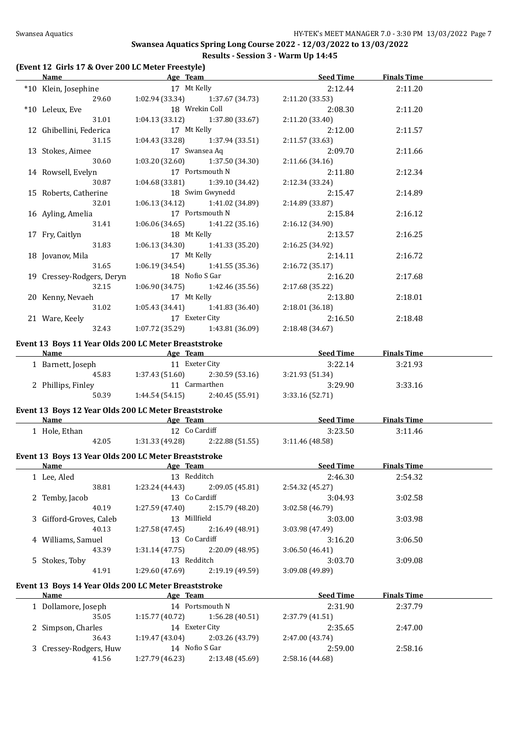#### **(Event 12 Girls 17 & Over 200 LC Meter Freestyle)**

|                                                      |                 |                                           | <b>Name</b> Seed Time Seed Age Team Seed Time                                  | <b>Finals Time</b> |  |
|------------------------------------------------------|-----------------|-------------------------------------------|--------------------------------------------------------------------------------|--------------------|--|
| *10 Klein, Josephine 17 Mt Kelly                     |                 |                                           | 2:12.44                                                                        | 2:11.20            |  |
|                                                      |                 |                                           | 29.60 1:02.94 (33.34) 1:37.67 (34.73) 2:11.20 (33.53)                          |                    |  |
| *10 Leleux, Eve                                      |                 | 18 Wrekin Coll                            | 2:08.30                                                                        | 2:11.20            |  |
| 31.01                                                |                 | $1:04.13(33.12)$ $1:37.80(33.67)$         | 2:11.20 (33.40)                                                                |                    |  |
| 12 Ghibellini, Federica 17 Mt Kelly                  |                 |                                           | 2:12.00                                                                        | 2:11.57            |  |
| 31.15                                                |                 | $1:04.43$ (33.28) $1:37.94$ (33.51)       | 2:11.57 (33.63)                                                                |                    |  |
| 13 Stokes, Aimee 17 Swansea Aq                       |                 |                                           | 2:09.70                                                                        | 2:11.66            |  |
| 30.60                                                |                 | $1:03.20(32.60)$ $1:37.50(34.30)$         | 2:11.66 (34.16)                                                                |                    |  |
| 14 Rowsell, Evelyn                                   | 17 Portsmouth N |                                           | 2:11.80                                                                        | 2:12.34            |  |
| 30.87                                                |                 | $1:04.68(33.81)$ $1:39.10(34.42)$         | 2:12.34 (33.24)                                                                |                    |  |
| 15 Roberts, Catherine 18 Swim Gwynedd                |                 |                                           | 2:15.47                                                                        | 2:14.89            |  |
|                                                      |                 | 32.01 1:06.13 (34.12) 1:41.02 (34.89)     | 2:14.89 (33.87)                                                                |                    |  |
| 16 Ayling, Amelia                                    |                 | 17 Portsmouth N                           | 2:15.84                                                                        | 2:16.12            |  |
| 31.41                                                |                 | $1:06.06(34.65)$ $1:41.22(35.16)$         | 2:16.12 (34.90)                                                                |                    |  |
| 17 Fry, Caitlyn                                      | 18 Mt Kelly     |                                           | 2:13.57                                                                        | 2:16.25            |  |
| 31.83                                                |                 | $1:06.13(34.30)$ $1:41.33(35.20)$         | 2:16.25 (34.92)                                                                |                    |  |
| 18 Jovanov, Mila 17 Mt Kelly                         |                 |                                           | 2:14.11                                                                        | 2:16.72            |  |
| 31.65                                                |                 | $1:06.19(34.54)$ $1:41.55(35.36)$         | 2:16.72 (35.17)                                                                |                    |  |
| 19 Cressey-Rodgers, Deryn                            | 18 Nofio S Gar  |                                           | 2:16.20                                                                        | 2:17.68            |  |
| 32.15                                                |                 | $1:06.90(34.75)$ $1:42.46(35.56)$         | 2:17.68 (35.22)                                                                |                    |  |
| 20 Kenny, Nevaeh                                     | 17 Mt Kelly     |                                           | 2:13.80                                                                        | 2:18.01            |  |
|                                                      |                 | 31.02   1:05.43 (34.41)   1:41.83 (36.40) | 2:18.01(36.18)                                                                 |                    |  |
| 21 Ware, Keely 17 Exeter City                        |                 |                                           | 2:16.50                                                                        | 2:18.48            |  |
|                                                      |                 | 32.43 1:07.72 (35.29) 1:43.81 (36.09)     | 2:18.48 (34.67)                                                                |                    |  |
| Event 13 Boys 11 Year Olds 200 LC Meter Breaststroke |                 |                                           |                                                                                |                    |  |
|                                                      |                 |                                           | Name <b>Seed Time</b> Finals Time <b>Age</b> Team <b>Seed Time</b> Finals Time |                    |  |
| 1 Barnett, Joseph 11 Exeter City                     |                 |                                           | 3:22.14                                                                        | 3:21.93            |  |
| 45.83 1:37.43 (51.60) 2:30.59 (53.16)                |                 |                                           | 3:21.93 (51.34)                                                                |                    |  |
| 2 Phillips, Finley                                   | 11 Carmarthen   |                                           | 3:29.90                                                                        | 3:33.16            |  |
|                                                      |                 | 50.39 1:44.54 (54.15) 2:40.45 (55.91)     | 3:33.16 (52.71)                                                                |                    |  |
|                                                      |                 |                                           |                                                                                |                    |  |

#### **Event 13 Boys 12 Year Olds 200 LC Meter Breaststroke**

| Name        |       | Team<br>Age     |                 | <b>Seed Time</b> | <b>Finals Time</b> |  |
|-------------|-------|-----------------|-----------------|------------------|--------------------|--|
| Hole, Ethan |       | 12 Co Cardiff   |                 | 3:23.50          | 3:11.46            |  |
|             | 42.05 | 1:31.33 (49.28) | 2:22.88 (51.55) | 3:11.46 (48.58)  |                    |  |

## **Event 13 Boys 13 Year Olds 200 LC Meter Breaststroke**

 $\overline{\phantom{a}}$ 

| Name                    | Age Team        |                 | <b>Seed Time</b> | <b>Finals Time</b> |  |
|-------------------------|-----------------|-----------------|------------------|--------------------|--|
| 1 Lee, Aled             | 13 Redditch     |                 | 2:46.30          | 2:54.32            |  |
| 38.81                   | 1:23.24(44.43)  | 2:09.05(45.81)  | 2:54.32 (45.27)  |                    |  |
| 2 Temby, Jacob          | 13 Co Cardiff   |                 | 3:04.93          | 3:02.58            |  |
| 40.19                   | 1:27.59(47.40)  | 2:15.79(48.20)  | 3:02.58(46.79)   |                    |  |
| 3 Gifford-Groves, Caleb | 13              | Millfield       | 3:03.00          | 3:03.98            |  |
| 40.13                   | 1:27.58(47.45)  | 2:16.49(48.91)  | 3:03.98 (47.49)  |                    |  |
| 4 Williams, Samuel      | 13 Co Cardiff   |                 | 3:16.20          | 3:06.50            |  |
| 43.39                   | 1:31.14(47.75)  | 2:20.09 (48.95) | 3:06.50(46.41)   |                    |  |
| 5 Stokes, Toby          | 13 Redditch     |                 | 3:03.70          | 3:09.08            |  |
| 41.91                   | 1:29.60 (47.69) | 2:19.19(49.59)  | 3:09.08(49.89)   |                    |  |
|                         |                 |                 |                  |                    |  |

## **Event 13 Boys 14 Year Olds 200 LC Meter Breaststroke**

| <b>Name</b>            | Age Team        |                 | <b>Seed Time</b> | <b>Finals Time</b> |  |
|------------------------|-----------------|-----------------|------------------|--------------------|--|
| 1 Dollamore, Joseph    |                 | 14 Portsmouth N | 2:31.90          | 2:37.79            |  |
| 35.05                  | 1:15.77 (40.72) | 1:56.28(40.51)  | 2:37.79 (41.51)  |                    |  |
| 2 Simpson, Charles     | 14              | Exeter City     | 2:35.65          | 2:47.00            |  |
| 36.43                  | 1:19.47(43.04)  | 2:03.26 (43.79) | 2:47.00 (43.74)  |                    |  |
| 3 Cressey-Rodgers, Huw | 14 Nofio S Gar  |                 | 2:59.00          | 2:58.16            |  |
| 41.56                  | 1:27.79 (46.23) | 2:13.48 (45.69) | 2:58.16 (44.68)  |                    |  |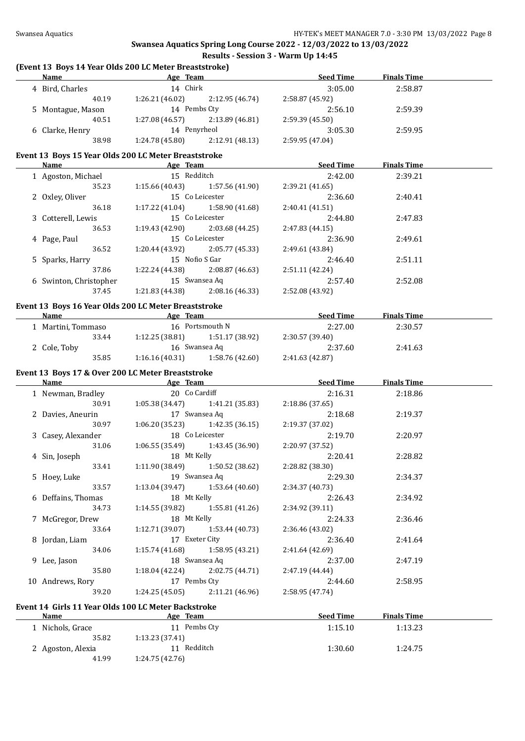#### **(Event 13 Boys 14 Year Olds 200 LC Meter Breaststroke)**

| <b>Name</b>       | Age Team        |                 | <b>Seed Time</b> | <b>Finals Time</b> |  |
|-------------------|-----------------|-----------------|------------------|--------------------|--|
| 4 Bird, Charles   | 14 Chirk        |                 | 3:05.00          | 2:58.87            |  |
| 40.19             | 1:26.21(46.02)  | 2:12.95 (46.74) | 2:58.87 (45.92)  |                    |  |
| 5 Montague, Mason | 14 Pembs Cty    |                 | 2:56.10          | 2:59.39            |  |
| 40.51             | 1:27.08(46.57)  | 2:13.89 (46.81) | 2:59.39(45.50)   |                    |  |
| 6 Clarke, Henry   | 14 Penyrheol    |                 | 3:05.30          | 2:59.95            |  |
| 38.98             | 1:24.78 (45.80) | 2:12.91(48.13)  | 2:59.95 (47.04)  |                    |  |

#### **Event 13 Boys 15 Year Olds 200 LC Meter Breaststroke**

| Name                   | Age Team        |                 | <b>Seed Time</b> | <b>Finals Time</b> |  |
|------------------------|-----------------|-----------------|------------------|--------------------|--|
| 1 Agoston, Michael     | 15 Redditch     |                 | 2:42.00          | 2:39.21            |  |
| 35.23                  | 1:15.66(40.43)  | 1:57.56 (41.90) | 2:39.21 (41.65)  |                    |  |
| 2 Oxley, Oliver        |                 | 15 Co Leicester | 2:36.60          | 2:40.41            |  |
| 36.18                  | 1:17.22(41.04)  | 1:58.90 (41.68) | 2:40.41(41.51)   |                    |  |
| 3 Cotterell, Lewis     |                 | 15 Co Leicester | 2:44.80          | 2:47.83            |  |
| 36.53                  | 1:19.43 (42.90) | 2:03.68(44.25)  | 2:47.83 (44.15)  |                    |  |
| 4 Page, Paul           |                 | 15 Co Leicester | 2:36.90          | 2:49.61            |  |
| 36.52                  | 1:20.44 (43.92) | 2:05.77 (45.33) | 2:49.61 (43.84)  |                    |  |
| 5 Sparks, Harry        | 15 Nofio S Gar  |                 | 2:46.40          | 2:51.11            |  |
| 37.86                  | 1:22.24 (44.38) | 2:08.87(46.63)  | 2:51.11(42.24)   |                    |  |
| 6 Swinton, Christopher | 15 Swansea Aq   |                 | 2:57.40          | 2:52.08            |  |
| 37.45                  | 1:21.83 (44.38) | 2:08.16 (46.33) | 2:52.08 (43.92)  |                    |  |

## **Event 13 Boys 16 Year Olds 200 LC Meter Breaststroke**

| Name               |       | Age Team       |                 | <b>Seed Time</b> | <b>Finals Time</b> |  |
|--------------------|-------|----------------|-----------------|------------------|--------------------|--|
| 1 Martini, Tommaso |       |                | 16 Portsmouth N | 2:27.00          | 2:30.57            |  |
|                    | 33.44 | 1:12.25(38.81) | 1:51.17 (38.92) | 2:30.57 (39.40)  |                    |  |
| 2 Cole, Toby       |       | 16 Swansea Ag  |                 | 2:37.60          | 2:41.63            |  |
|                    | 35.85 | 1:16.16(40.31) | 1:58.76 (42.60) | 2:41.63 (42.87)  |                    |  |

#### **Event 13 Boys 17 & Over 200 LC Meter Breaststroke**

| Name                            | Age Team    |                                   | <b>Seed Time</b> | <b>Finals Time</b> |  |
|---------------------------------|-------------|-----------------------------------|------------------|--------------------|--|
| 1 Newman, Bradley 20 Co Cardiff |             |                                   | 2:16.31          | 2:18.86            |  |
| 30.91                           |             | $1:05.38(34.47)$ $1:41.21(35.83)$ | 2:18.86 (37.65)  |                    |  |
| 2 Davies, Aneurin               |             | 17 Swansea Aq                     | 2:18.68          | 2:19.37            |  |
| 30.97                           |             | $1:06.20(35.23)$ $1:42.35(36.15)$ | 2:19.37 (37.02)  |                    |  |
| 3 Casey, Alexander              |             | 18 Co Leicester                   | 2:19.70          | 2:20.97            |  |
| 31.06                           |             | $1:06.55(35.49)$ $1:43.45(36.90)$ | 2:20.97 (37.52)  |                    |  |
| 4 Sin, Joseph                   | 18 Mt Kelly |                                   | 2:20.41          | 2:28.82            |  |
| 33.41                           |             | $1:11.90(38.49)$ $1:50.52(38.62)$ | 2:28.82 (38.30)  |                    |  |
| 5 Hoey, Luke                    |             | 19 Swansea Aq                     | 2:29.30          | 2:34.37            |  |
| 33.57                           |             | $1:13.04(39.47)$ $1:53.64(40.60)$ | 2:34.37 (40.73)  |                    |  |
| 6 Deffains, Thomas              | 18 Mt Kelly |                                   | 2:26.43          | 2:34.92            |  |
| 34.73                           |             | $1:14.55(39.82)$ $1:55.81(41.26)$ | 2:34.92 (39.11)  |                    |  |
| 7 McGregor, Drew                | 18 Mt Kelly |                                   | 2:24.33          | 2:36.46            |  |
| 33.64                           |             | $1:12.71(39.07)$ $1:53.44(40.73)$ | 2:36.46 (43.02)  |                    |  |
| 8 Jordan, Liam                  |             | 17 Exeter City                    | 2:36.40          | 2:41.64            |  |
| 34.06                           |             | $1:15.74(41.68)$ $1:58.95(43.21)$ | 2:41.64 (42.69)  |                    |  |
| 9 Lee, Jason                    |             | 18 Swansea Aq                     | 2:37.00          | 2:47.19            |  |
| 35.80                           |             | $1:18.04(42.24)$ $2:02.75(44.71)$ | 2:47.19 (44.44)  |                    |  |
| 10 Andrews, Rory                |             | 17 Pembs Cty                      | 2:44.60          | 2:58.95            |  |
| 39.20                           |             | $1:24.25(45.05)$ $2:11.21(46.96)$ | 2:58.95 (47.74)  |                    |  |
|                                 |             |                                   |                  |                    |  |

#### **Event 14 Girls 11 Year Olds 100 LC Meter Backstroke**

| Name                | Age Team       | <b>Seed Time</b> | <b>Finals Time</b> |  |
|---------------------|----------------|------------------|--------------------|--|
| .    Nichols, Grace | 11 Pembs Cty   | 1:15.10          | 1:13.23            |  |
| 35.82               | 1:13.23(37.41) |                  |                    |  |
| 2 Agoston, Alexia   | Redditch       | 1:30.60          | 1:24.75            |  |
| 41.99               | 1:24.75(42.76) |                  |                    |  |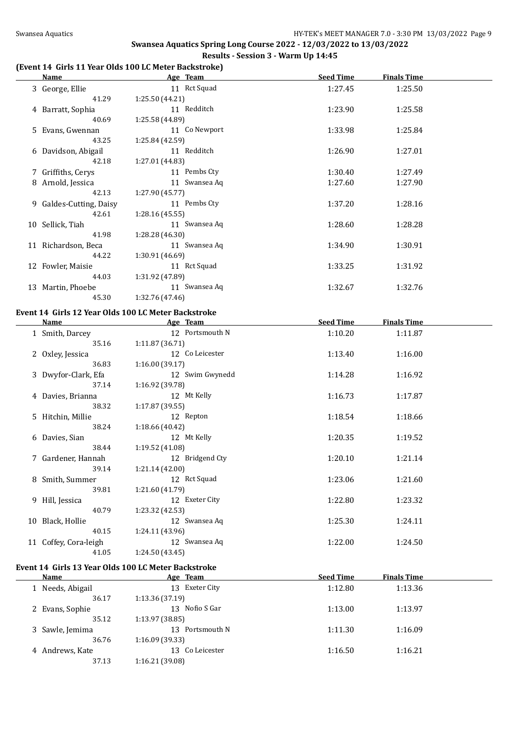#### **(Event 14 Girls 11 Year Olds 100 LC Meter Backstroke)**

| <u>Name</u>                    | Age Team                                                        | <b>Seed Time</b> | <b>Finals Time</b> |  |
|--------------------------------|-----------------------------------------------------------------|------------------|--------------------|--|
| 3 George, Ellie                | 11 Rct Squad                                                    | 1:27.45          | 1:25.50            |  |
| 41.29                          | 1:25.50 (44.21)                                                 |                  |                    |  |
| 4 Barratt, Sophia              | 11 Redditch                                                     | 1:23.90          | 1:25.58            |  |
| 40.69                          | 1:25.58 (44.89)                                                 |                  |                    |  |
| 5 Evans, Gwennan               | 11 Co Newport                                                   | 1:33.98          | 1:25.84            |  |
| 43.25                          | 1:25.84 (42.59)                                                 |                  |                    |  |
| 6 Davidson, Abigail            | 11 Redditch                                                     | 1:26.90          | 1:27.01            |  |
| 42.18                          | 1:27.01 (44.83)                                                 |                  |                    |  |
| 7 Griffiths, Cerys             | 11 Pembs Cty                                                    | 1:30.40          | 1:27.49            |  |
| 8 Arnold, Jessica              | 11 Swansea Aq                                                   | 1:27.60          | 1:27.90            |  |
| 42.13                          | 1:27.90 (45.77)                                                 |                  |                    |  |
| 9 Galdes-Cutting, Daisy        | 11 Pembs Cty                                                    | 1:37.20          | 1:28.16            |  |
| 42.61                          | 1:28.16 (45.55)                                                 |                  |                    |  |
| 10 Sellick, Tiah               | 11 Swansea Aq                                                   | 1:28.60          | 1:28.28            |  |
| 41.98                          | 1:28.28 (46.30)                                                 |                  |                    |  |
| 11 Richardson, Beca            | 11 Swansea Aq                                                   | 1:34.90          | 1:30.91            |  |
| 44.22                          | 1:30.91 (46.69)                                                 |                  |                    |  |
| 12 Fowler, Maisie              | 11 Rct Squad                                                    | 1:33.25          | 1:31.92            |  |
| 44.03                          | 1:31.92 (47.89)                                                 |                  |                    |  |
| 13 Martin, Phoebe              | 11 Swansea Aq                                                   | 1:32.67          | 1:32.76            |  |
| 45.30                          | 1:32.76 (47.46)                                                 |                  |                    |  |
|                                |                                                                 |                  |                    |  |
| <b>Name</b>                    | Event 14 Girls 12 Year Olds 100 LC Meter Backstroke<br>Age Team | <b>Seed Time</b> | <b>Finals Time</b> |  |
| 1 Smith, Darcey                | 12 Portsmouth N                                                 | 1:10.20          | 1:11.87            |  |
| 35.16                          | 1:11.87 (36.71)                                                 |                  |                    |  |
| 2 Oxley, Jessica               | 12 Co Leicester                                                 | 1:13.40          | 1:16.00            |  |
| 36.83                          | 1:16.00 (39.17)                                                 |                  |                    |  |
| 3 Dwyfor-Clark, Efa            | 12 Swim Gwynedd                                                 | 1:14.28          | 1:16.92            |  |
| 37.14                          | 1:16.92 (39.78)                                                 |                  |                    |  |
|                                | 12 Mt Kelly                                                     | 1:16.73          | 1:17.87            |  |
| 4 Davies, Brianna<br>38.32     | 1:17.87 (39.55)                                                 |                  |                    |  |
| 5 Hitchin, Millie              | 12 Repton                                                       | 1:18.54          | 1:18.66            |  |
| 38.24                          | 1:18.66 (40.42)                                                 |                  |                    |  |
|                                | 12 Mt Kelly                                                     | 1:20.35          | 1:19.52            |  |
| 6 Davies, Sian<br>38.44        | 1:19.52 (41.08)                                                 |                  |                    |  |
|                                | 12 Bridgend Cty                                                 |                  |                    |  |
| 7 Gardener, Hannah             | 1:21.14 (42.00)                                                 | 1:20.10          | 1:21.14            |  |
| 39.14                          | 12 Rct Squad                                                    |                  |                    |  |
| 8 Smith, Summer                |                                                                 | 1:23.06          | 1:21.60            |  |
| 39.81                          | 1:21.60 (41.79)                                                 |                  |                    |  |
|                                |                                                                 |                  |                    |  |
| 9 Hill, Jessica                | 12 Exeter City                                                  | 1:22.80          | 1:23.32            |  |
| 40.79                          | 1:23.32 (42.53)                                                 |                  |                    |  |
| 10 Black, Hollie               | 12 Swansea Aq                                                   | 1:25.30          | 1:24.11            |  |
| 40.15                          | 1:24.11 (43.96)                                                 |                  |                    |  |
| 11 Coffey, Cora-leigh<br>41.05 | 12 Swansea Aq<br>1:24.50 (43.45)                                | 1:22.00          | 1:24.50            |  |

#### **Event 14 Girls 13 Year Olds 100 LC Meter Backstroke**

| Name             | Age Team          | <b>Seed Time</b> | <b>Finals Time</b> |  |
|------------------|-------------------|------------------|--------------------|--|
| 1 Needs, Abigail | 13 Exeter City    | 1:12.80          | 1:13.36            |  |
| 36.17            | 1:13.36(37.19)    |                  |                    |  |
| 2 Evans, Sophie  | Nofio S Gar<br>13 | 1:13.00          | 1:13.97            |  |
| 35.12            | 1:13.97(38.85)    |                  |                    |  |
| 3 Sawle, Jemima  | 13 Portsmouth N   | 1:11.30          | 1:16.09            |  |
| 36.76            | 1:16.09(39.33)    |                  |                    |  |
| 4 Andrews, Kate  | 13 Co Leicester   | 1:16.50          | 1:16.21            |  |
| 37.13            | 1:16.21 (39.08)   |                  |                    |  |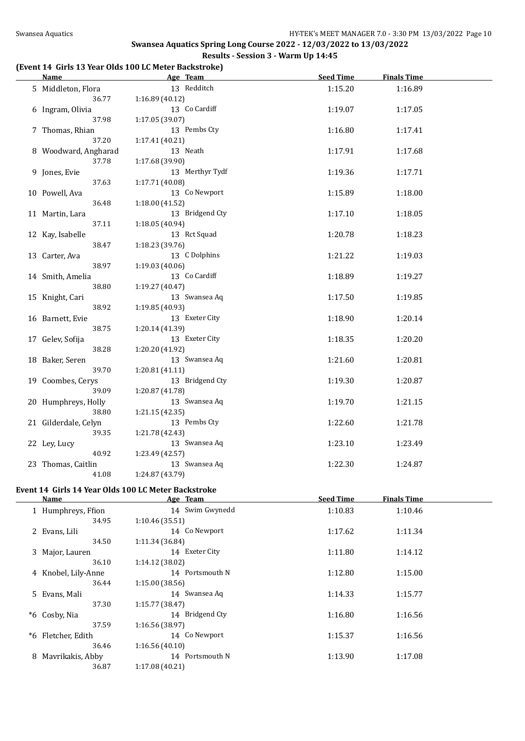### **(Event 14 Girls 13 Year Olds 100 LC Meter Backstroke)**

| <b>Name</b>              | Age Team                                            | <b>Seed Time</b> | <b>Finals Time</b> |  |
|--------------------------|-----------------------------------------------------|------------------|--------------------|--|
| 5 Middleton, Flora       | 13 Redditch                                         | 1:15.20          | 1:16.89            |  |
| 36.77                    | 1:16.89(40.12)                                      |                  |                    |  |
| 6 Ingram, Olivia         | 13 Co Cardiff                                       | 1:19.07          | 1:17.05            |  |
| 37.98                    | 1:17.05 (39.07)                                     |                  |                    |  |
| 7 Thomas, Rhian          | 13 Pembs Cty                                        | 1:16.80          | 1:17.41            |  |
| 37.20                    | 1:17.41 (40.21)                                     |                  |                    |  |
| 8 Woodward, Angharad     | 13 Neath                                            | 1:17.91          | 1:17.68            |  |
| 37.78                    | 1:17.68 (39.90)                                     |                  |                    |  |
| 9 Jones, Evie            | 13 Merthyr Tydf                                     | 1:19.36          | 1:17.71            |  |
| 37.63                    | 1:17.71 (40.08)                                     |                  |                    |  |
| 10 Powell, Ava           | 13 Co Newport                                       | 1:15.89          | 1:18.00            |  |
| 36.48                    | 1:18.00(41.52)                                      |                  |                    |  |
| 11 Martin, Lara          | 13 Bridgend Cty                                     | 1:17.10          | 1:18.05            |  |
| 37.11                    | 1:18.05 (40.94)                                     |                  |                    |  |
| 12 Kay, Isabelle         | 13 Rct Squad                                        | 1:20.78          | 1:18.23            |  |
| 38.47                    | 1:18.23 (39.76)                                     |                  |                    |  |
| 13 Carter, Ava           | 13 C Dolphins                                       | 1:21.22          | 1:19.03            |  |
| 38.97                    | 1:19.03 (40.06)                                     |                  |                    |  |
| 14 Smith, Amelia         | 13 Co Cardiff                                       | 1:18.89          | 1:19.27            |  |
| 38.80                    | 1:19.27 (40.47)                                     |                  |                    |  |
| 15 Knight, Cari          | 13 Swansea Aq                                       | 1:17.50          | 1:19.85            |  |
| 38.92                    | 1:19.85 (40.93)                                     |                  |                    |  |
| 16 Barnett, Evie         | 13 Exeter City                                      | 1:18.90          | 1:20.14            |  |
| 38.75                    | 1:20.14 (41.39)                                     |                  |                    |  |
| 17 Gelev, Sofija         | 13 Exeter City                                      | 1:18.35          | 1:20.20            |  |
| 38.28                    | 1:20.20 (41.92)<br>13 Swansea Aq                    |                  |                    |  |
| 18 Baker, Seren<br>39.70 | 1:20.81(41.11)                                      | 1:21.60          | 1:20.81            |  |
| 19 Coombes, Cerys        | 13 Bridgend Cty                                     | 1:19.30          | 1:20.87            |  |
| 39.09                    | 1:20.87 (41.78)                                     |                  |                    |  |
| 20 Humphreys, Holly      | 13 Swansea Aq                                       | 1:19.70          | 1:21.15            |  |
| 38.80                    | 1:21.15(42.35)                                      |                  |                    |  |
| 21 Gilderdale, Celyn     | 13 Pembs Cty                                        | 1:22.60          | 1:21.78            |  |
| 39.35                    | 1:21.78 (42.43)                                     |                  |                    |  |
| 22 Ley, Lucy             | 13 Swansea Aq                                       | 1:23.10          | 1:23.49            |  |
| 40.92                    | 1:23.49 (42.57)                                     |                  |                    |  |
| 23 Thomas, Caitlin       | 13 Swansea Aq                                       | 1:22.30          | 1:24.87            |  |
| 41.08                    | 1:24.87 (43.79)                                     |                  |                    |  |
|                          |                                                     |                  |                    |  |
|                          | Event 14 Girls 14 Year Olds 100 LC Meter Backstroke | <b>Seed Time</b> |                    |  |
| <b>Name</b>              | Age Team                                            |                  | <b>Finals Time</b> |  |

|   |                     | $-000000$       |         |         |  |
|---|---------------------|-----------------|---------|---------|--|
|   | 1 Humphreys, Ffion  | 14 Swim Gwynedd | 1:10.83 | 1:10.46 |  |
|   | 34.95               | 1:10.46(35.51)  |         |         |  |
|   | 2 Evans, Lili       | 14 Co Newport   | 1:17.62 | 1:11.34 |  |
|   | 34.50               | 1:11.34 (36.84) |         |         |  |
| 3 | Major, Lauren       | 14 Exeter City  | 1:11.80 | 1:14.12 |  |
|   | 36.10               | 1:14.12 (38.02) |         |         |  |
|   | 4 Knobel, Lily-Anne | 14 Portsmouth N | 1:12.80 | 1:15.00 |  |
|   | 36.44               | 1:15.00(38.56)  |         |         |  |
|   | 5 Evans, Mali       | 14 Swansea Aq   | 1:14.33 | 1:15.77 |  |
|   | 37.30               | 1:15.77(38.47)  |         |         |  |
|   | *6 Cosby, Nia       | 14 Bridgend Cty | 1:16.80 | 1:16.56 |  |
|   | 37.59               | 1:16.56 (38.97) |         |         |  |
|   | *6 Fletcher, Edith  | 14 Co Newport   | 1:15.37 | 1:16.56 |  |
|   | 36.46               | 1:16.56(40.10)  |         |         |  |
| 8 | Mavrikakis, Abby    | 14 Portsmouth N | 1:13.90 | 1:17.08 |  |
|   | 36.87               | 1:17.08(40.21)  |         |         |  |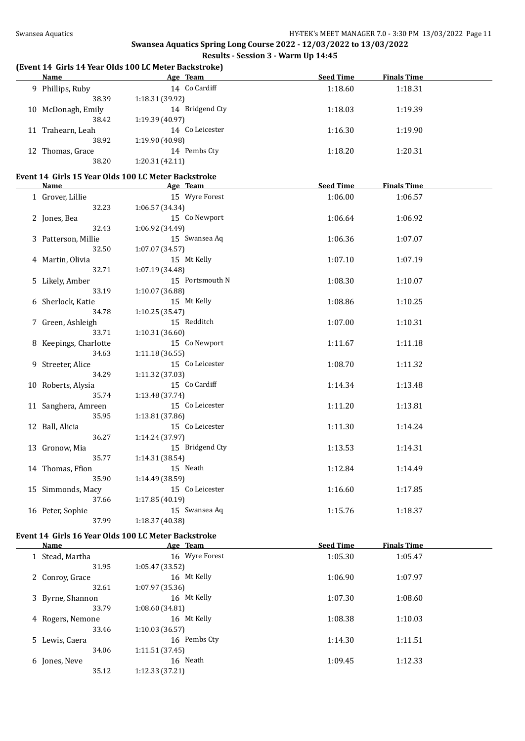#### **(Event 14 Girls 14 Year Olds 100 LC Meter Backstroke)**

| <b>Name</b>           | (Event 14 Girls 14 Year Olds 100 LC Meter Backstroke)<br>Age Team | <b>Seed Time</b> | <b>Finals Time</b> |  |
|-----------------------|-------------------------------------------------------------------|------------------|--------------------|--|
|                       | 14 Co Cardiff                                                     |                  |                    |  |
| 9 Phillips, Ruby      |                                                                   | 1:18.60          | 1:18.31            |  |
| 38.39                 | 1:18.31 (39.92)                                                   |                  |                    |  |
| 10 McDonagh, Emily    | 14 Bridgend Cty                                                   | 1:18.03          | 1:19.39            |  |
| 38.42                 | 1:19.39 (40.97)                                                   |                  |                    |  |
| 11 Trahearn, Leah     | 14 Co Leicester                                                   | 1:16.30          | 1:19.90            |  |
| 38.92                 | 1:19.90 (40.98)                                                   |                  |                    |  |
| 12 Thomas, Grace      | 14 Pembs Cty                                                      | 1:18.20          | 1:20.31            |  |
| 38.20                 | 1:20.31(42.11)                                                    |                  |                    |  |
|                       | Event 14 Girls 15 Year Olds 100 LC Meter Backstroke               |                  |                    |  |
| Name                  | Age Team                                                          | <b>Seed Time</b> | <b>Finals Time</b> |  |
| 1 Grover, Lillie      | 15 Wyre Forest                                                    | 1:06.00          | 1:06.57            |  |
| 32.23                 | 1:06.57(34.34)                                                    |                  |                    |  |
| 2 Jones, Bea          | 15 Co Newport                                                     | 1:06.64          | 1:06.92            |  |
| 32.43                 | 1:06.92 (34.49)                                                   |                  |                    |  |
| 3 Patterson, Millie   | 15 Swansea Aq                                                     | 1:06.36          | 1:07.07            |  |
| 32.50                 | 1:07.07 (34.57)                                                   |                  |                    |  |
| 4 Martin, Olivia      | 15 Mt Kelly                                                       | 1:07.10          | 1:07.19            |  |
| 32.71                 | 1:07.19 (34.48)                                                   |                  |                    |  |
| 5 Likely, Amber       | 15 Portsmouth N                                                   | 1:08.30          | 1:10.07            |  |
| 33.19                 | 1:10.07 (36.88)                                                   |                  |                    |  |
| 6 Sherlock, Katie     | 15 Mt Kelly                                                       | 1:08.86          | 1:10.25            |  |
| 34.78                 | 1:10.25(35.47)                                                    |                  |                    |  |
| 7 Green, Ashleigh     | 15 Redditch                                                       | 1:07.00          | 1:10.31            |  |
| 33.71                 | 1:10.31 (36.60)                                                   |                  |                    |  |
| 8 Keepings, Charlotte | 15 Co Newport                                                     | 1:11.67          | 1:11.18            |  |
| 34.63                 | 1:11.18(36.55)                                                    |                  |                    |  |
| 9 Streeter, Alice     | 15 Co Leicester                                                   | 1:08.70          | 1:11.32            |  |
| 34.29                 | 1:11.32 (37.03)                                                   |                  |                    |  |
| 10 Roberts, Alysia    | 15 Co Cardiff                                                     | 1:14.34          | 1:13.48            |  |
| 35.74                 | 1:13.48 (37.74)                                                   |                  |                    |  |
| 11 Sanghera, Amreen   | 15 Co Leicester                                                   | 1:11.20          | 1:13.81            |  |
| 35.95                 | 1:13.81 (37.86)                                                   |                  |                    |  |
| 12 Ball, Alicia       | 15 Co Leicester                                                   | 1:11.30          | 1:14.24            |  |
| 36.27                 | 1:14.24 (37.97)                                                   |                  |                    |  |
| 13 Gronow, Mia        | 15 Bridgend Cty                                                   | 1:13.53          | 1:14.31            |  |
| 35.77                 | 1:14.31 (38.54)                                                   |                  |                    |  |
| 14 Thomas, Ffion      | 15 Neath                                                          | 1:12.84          | 1:14.49            |  |
| 35.90                 | 1:14.49 (38.59)                                                   |                  |                    |  |
| 15 Simmonds, Macy     | 15 Co Leicester                                                   | 1:16.60          | 1:17.85            |  |

#### 15 Simmonds, Macy 15 Co Leicester 1:16.60 1:17.85 37.66 1:17.85 (40.19) 16 Peter, Sophie 15 Swansea Aq 1:15.76 1:18.37<br>37.99 1:18.37 (40.38) 37.99 1:18.37 (40.38)

#### **Event 14 Girls 16 Year Olds 100 LC Meter Backstroke**

| Name             | Age Team       | <b>Seed Time</b> | <b>Finals Time</b> |  |
|------------------|----------------|------------------|--------------------|--|
| 1 Stead, Martha  | 16 Wyre Forest | 1:05.30          | 1:05.47            |  |
| 31.95            | 1:05.47(33.52) |                  |                    |  |
| 2 Conroy, Grace  | 16 Mt Kelly    | 1:06.90          | 1:07.97            |  |
| 32.61            | 1:07.97(35.36) |                  |                    |  |
| 3 Byrne, Shannon | 16 Mt Kelly    | 1:07.30          | 1:08.60            |  |
| 33.79            | 1:08.60(34.81) |                  |                    |  |
| 4 Rogers, Nemone | 16 Mt Kelly    | 1:08.38          | 1:10.03            |  |
| 33.46            | 1:10.03(36.57) |                  |                    |  |
| 5 Lewis, Caera   | 16 Pembs Cty   | 1:14.30          | 1:11.51            |  |
| 34.06            | 1:11.51(37.45) |                  |                    |  |
| 6 Jones, Neve    | 16 Neath       | 1:09.45          | 1:12.33            |  |
| 35.12            | 1:12.33(37.21) |                  |                    |  |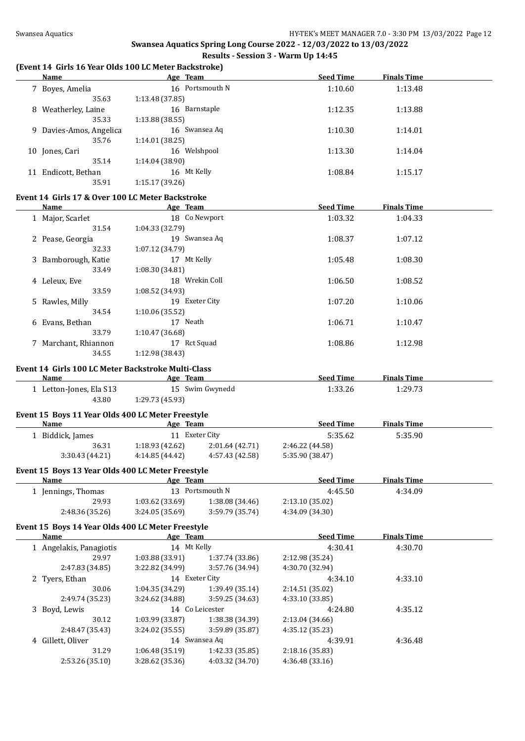# **(Event 14 Girls 16 Year Olds 100 LC Meter Backstroke)**

| 16 Portsmouth N<br>7 Boyes, Amelia<br>1:10.60<br>1:13.48<br>35.63<br>1:13.48 (37.85)<br>16 Barnstaple<br>8 Weatherley, Laine<br>1:12.35<br>1:13.88<br>35.33<br>1:13.88 (38.55)<br>16 Swansea Aq<br>9 Davies-Amos, Angelica<br>1:10.30<br>1:14.01<br>35.76<br>1:14.01 (38.25)<br>16 Welshpool<br>10 Jones, Cari<br>1:13.30<br>1:14.04<br>35.14<br>1:14.04 (38.90)<br>16 Mt Kelly<br>11 Endicott, Bethan<br>1:08.84<br>1:15.17<br>35.91<br>1:15.17(39.26)<br>Event 14 Girls 17 & Over 100 LC Meter Backstroke<br><b>Seed Time</b><br><b>Finals Time</b><br>Name<br>Age Team<br>18 Co Newport<br>1:03.32<br>1 Major, Scarlet<br>1:04.33<br>1:04.33 (32.79)<br>31.54<br>19 Swansea Aq<br>2 Pease, Georgia<br>1:08.37<br>1:07.12<br>1:07.12 (34.79)<br>32.33<br>17 Mt Kelly<br>3 Bamborough, Katie<br>1:05.48<br>1:08.30<br>33.49<br>1:08.30 (34.81)<br>18 Wrekin Coll<br>4 Leleux, Eve<br>1:06.50<br>1:08.52<br>33.59<br>1:08.52 (34.93)<br>19 Exeter City<br>5 Rawles, Milly<br>1:07.20<br>1:10.06<br>34.54<br>1:10.06 (35.52)<br>17 Neath<br>1:06.71<br>6 Evans, Bethan<br>1:10.47<br>33.79<br>1:10.47 (36.68)<br>17 Rct Squad<br>7 Marchant, Rhiannon<br>1:08.86<br>1:12.98<br>34.55<br>1:12.98 (38.43)<br>Event 14 Girls 100 LC Meter Backstroke Multi-Class<br><b>Seed Time</b><br>and the same of the Age Team<br><b>Finals Time</b><br>Name<br>15 Swim Gwynedd<br>1 Letton-Jones, Ela S13<br>1:33.26<br>1:29.73<br>43.80<br>1:29.73 (45.93)<br>Event 15 Boys 11 Year Olds 400 LC Meter Freestyle<br>all a subset of the season of the season and the season of the season of the season of the season of the season of the season of the season of the season of the season of the season of the season of the season of the seaso<br><b>Seed Time</b><br><b>Finals Time</b><br>Name<br>5:35.62<br>1 Biddick, James<br>11 Exeter City<br>5:35.90<br>36.31<br>$1:18.93(42.62)$ $2:01.64(42.71)$<br>2:46.22 (44.58)<br>3:30.43 (44.21)<br>$4:14.85(44.42)$ $4:57.43(42.58)$<br>5:35.90 (38.47)<br>Event 15 Boys 13 Year Olds 400 LC Meter Freestyle<br><b>Seed Time</b><br><b>Finals Time</b><br>Age Team<br><u>Name</u><br>13 Portsmouth N<br>4:45.50<br>1 Jennings, Thomas<br>4:34.09<br>29.93<br>1:03.62 (33.69)<br>1:38.08 (34.46)<br>2:13.10 (35.02)<br>3:59.79 (35.74)<br>2:48.36 (35.26)<br>3:24.05 (35.69)<br>4:34.09 (34.30)<br>Event 15 Boys 14 Year Olds 400 LC Meter Freestyle<br><b>Seed Time</b><br><b>Finals Time</b><br>Age Team<br><u>Name</u><br>14 Mt Kelly<br>1 Angelakis, Panagiotis<br>4:30.41<br>4:30.70<br>29.97<br>1:03.88 (33.91)<br>1:37.74 (33.86)<br>2:12.98 (35.24)<br>2:47.83 (34.85)<br>3:22.82 (34.99)<br>3:57.76 (34.94)<br>4:30.70 (32.94)<br>14 Exeter City<br>4:33.10<br>2 Tyers, Ethan<br>4:34.10<br>30.06<br>1:04.35 (34.29)<br>1:39.49 (35.14)<br>2:14.51 (35.02)<br>2:49.74 (35.23)<br>3:24.62 (34.88)<br>3:59.25 (34.63)<br>4:33.10 (33.85)<br>14 Co Leicester<br>3 Boyd, Lewis<br>4:24.80<br>4:35.12<br>30.12<br>1:03.99 (33.87)<br>1:38.38 (34.39)<br>2:13.04 (34.66)<br>2:48.47 (35.43)<br>3:24.02 (35.55)<br>3:59.89 (35.87)<br>4:35.12 (35.23)<br>14 Swansea Aq<br>4 Gillett, Oliver<br>4:39.91<br>4:36.48<br>31.29<br>1:06.48 (35.19)<br>1:42.33 (35.85)<br>2:18.16 (35.83)<br>2:53.26 (35.10)<br>3:28.62 (35.36)<br>4:03.32 (34.70)<br>4:36.48 (33.16) | Name | Age Team | <b>Seed Time</b> | <b>Finals Time</b> |  |
|----------------------------------------------------------------------------------------------------------------------------------------------------------------------------------------------------------------------------------------------------------------------------------------------------------------------------------------------------------------------------------------------------------------------------------------------------------------------------------------------------------------------------------------------------------------------------------------------------------------------------------------------------------------------------------------------------------------------------------------------------------------------------------------------------------------------------------------------------------------------------------------------------------------------------------------------------------------------------------------------------------------------------------------------------------------------------------------------------------------------------------------------------------------------------------------------------------------------------------------------------------------------------------------------------------------------------------------------------------------------------------------------------------------------------------------------------------------------------------------------------------------------------------------------------------------------------------------------------------------------------------------------------------------------------------------------------------------------------------------------------------------------------------------------------------------------------------------------------------------------------------------------------------------------------------------------------------------------------------------------------------------------------------------------------------------------------------------------------------------------------------------------------------------------------------------------------------------------------------------------------------------------------------------------------------------------------------------------------------------------------------------------------------------------------------------------------------------------------------------------------------------------------------------------------------------------------------------------------------------------------------------------------------------------------------------------------------------------------------------------------------------------------------------------------------------------------------------------------------------------------------------------------------------------------------------------------------------------------------------------------------------------------------------------------------------------------------------------------------------------------------------------------------------------------------------------------------------------------------------------------------------------------------------------------------|------|----------|------------------|--------------------|--|
|                                                                                                                                                                                                                                                                                                                                                                                                                                                                                                                                                                                                                                                                                                                                                                                                                                                                                                                                                                                                                                                                                                                                                                                                                                                                                                                                                                                                                                                                                                                                                                                                                                                                                                                                                                                                                                                                                                                                                                                                                                                                                                                                                                                                                                                                                                                                                                                                                                                                                                                                                                                                                                                                                                                                                                                                                                                                                                                                                                                                                                                                                                                                                                                                                                                                                                          |      |          |                  |                    |  |
|                                                                                                                                                                                                                                                                                                                                                                                                                                                                                                                                                                                                                                                                                                                                                                                                                                                                                                                                                                                                                                                                                                                                                                                                                                                                                                                                                                                                                                                                                                                                                                                                                                                                                                                                                                                                                                                                                                                                                                                                                                                                                                                                                                                                                                                                                                                                                                                                                                                                                                                                                                                                                                                                                                                                                                                                                                                                                                                                                                                                                                                                                                                                                                                                                                                                                                          |      |          |                  |                    |  |
|                                                                                                                                                                                                                                                                                                                                                                                                                                                                                                                                                                                                                                                                                                                                                                                                                                                                                                                                                                                                                                                                                                                                                                                                                                                                                                                                                                                                                                                                                                                                                                                                                                                                                                                                                                                                                                                                                                                                                                                                                                                                                                                                                                                                                                                                                                                                                                                                                                                                                                                                                                                                                                                                                                                                                                                                                                                                                                                                                                                                                                                                                                                                                                                                                                                                                                          |      |          |                  |                    |  |
|                                                                                                                                                                                                                                                                                                                                                                                                                                                                                                                                                                                                                                                                                                                                                                                                                                                                                                                                                                                                                                                                                                                                                                                                                                                                                                                                                                                                                                                                                                                                                                                                                                                                                                                                                                                                                                                                                                                                                                                                                                                                                                                                                                                                                                                                                                                                                                                                                                                                                                                                                                                                                                                                                                                                                                                                                                                                                                                                                                                                                                                                                                                                                                                                                                                                                                          |      |          |                  |                    |  |
|                                                                                                                                                                                                                                                                                                                                                                                                                                                                                                                                                                                                                                                                                                                                                                                                                                                                                                                                                                                                                                                                                                                                                                                                                                                                                                                                                                                                                                                                                                                                                                                                                                                                                                                                                                                                                                                                                                                                                                                                                                                                                                                                                                                                                                                                                                                                                                                                                                                                                                                                                                                                                                                                                                                                                                                                                                                                                                                                                                                                                                                                                                                                                                                                                                                                                                          |      |          |                  |                    |  |
|                                                                                                                                                                                                                                                                                                                                                                                                                                                                                                                                                                                                                                                                                                                                                                                                                                                                                                                                                                                                                                                                                                                                                                                                                                                                                                                                                                                                                                                                                                                                                                                                                                                                                                                                                                                                                                                                                                                                                                                                                                                                                                                                                                                                                                                                                                                                                                                                                                                                                                                                                                                                                                                                                                                                                                                                                                                                                                                                                                                                                                                                                                                                                                                                                                                                                                          |      |          |                  |                    |  |
|                                                                                                                                                                                                                                                                                                                                                                                                                                                                                                                                                                                                                                                                                                                                                                                                                                                                                                                                                                                                                                                                                                                                                                                                                                                                                                                                                                                                                                                                                                                                                                                                                                                                                                                                                                                                                                                                                                                                                                                                                                                                                                                                                                                                                                                                                                                                                                                                                                                                                                                                                                                                                                                                                                                                                                                                                                                                                                                                                                                                                                                                                                                                                                                                                                                                                                          |      |          |                  |                    |  |
|                                                                                                                                                                                                                                                                                                                                                                                                                                                                                                                                                                                                                                                                                                                                                                                                                                                                                                                                                                                                                                                                                                                                                                                                                                                                                                                                                                                                                                                                                                                                                                                                                                                                                                                                                                                                                                                                                                                                                                                                                                                                                                                                                                                                                                                                                                                                                                                                                                                                                                                                                                                                                                                                                                                                                                                                                                                                                                                                                                                                                                                                                                                                                                                                                                                                                                          |      |          |                  |                    |  |
|                                                                                                                                                                                                                                                                                                                                                                                                                                                                                                                                                                                                                                                                                                                                                                                                                                                                                                                                                                                                                                                                                                                                                                                                                                                                                                                                                                                                                                                                                                                                                                                                                                                                                                                                                                                                                                                                                                                                                                                                                                                                                                                                                                                                                                                                                                                                                                                                                                                                                                                                                                                                                                                                                                                                                                                                                                                                                                                                                                                                                                                                                                                                                                                                                                                                                                          |      |          |                  |                    |  |
|                                                                                                                                                                                                                                                                                                                                                                                                                                                                                                                                                                                                                                                                                                                                                                                                                                                                                                                                                                                                                                                                                                                                                                                                                                                                                                                                                                                                                                                                                                                                                                                                                                                                                                                                                                                                                                                                                                                                                                                                                                                                                                                                                                                                                                                                                                                                                                                                                                                                                                                                                                                                                                                                                                                                                                                                                                                                                                                                                                                                                                                                                                                                                                                                                                                                                                          |      |          |                  |                    |  |
|                                                                                                                                                                                                                                                                                                                                                                                                                                                                                                                                                                                                                                                                                                                                                                                                                                                                                                                                                                                                                                                                                                                                                                                                                                                                                                                                                                                                                                                                                                                                                                                                                                                                                                                                                                                                                                                                                                                                                                                                                                                                                                                                                                                                                                                                                                                                                                                                                                                                                                                                                                                                                                                                                                                                                                                                                                                                                                                                                                                                                                                                                                                                                                                                                                                                                                          |      |          |                  |                    |  |
|                                                                                                                                                                                                                                                                                                                                                                                                                                                                                                                                                                                                                                                                                                                                                                                                                                                                                                                                                                                                                                                                                                                                                                                                                                                                                                                                                                                                                                                                                                                                                                                                                                                                                                                                                                                                                                                                                                                                                                                                                                                                                                                                                                                                                                                                                                                                                                                                                                                                                                                                                                                                                                                                                                                                                                                                                                                                                                                                                                                                                                                                                                                                                                                                                                                                                                          |      |          |                  |                    |  |
|                                                                                                                                                                                                                                                                                                                                                                                                                                                                                                                                                                                                                                                                                                                                                                                                                                                                                                                                                                                                                                                                                                                                                                                                                                                                                                                                                                                                                                                                                                                                                                                                                                                                                                                                                                                                                                                                                                                                                                                                                                                                                                                                                                                                                                                                                                                                                                                                                                                                                                                                                                                                                                                                                                                                                                                                                                                                                                                                                                                                                                                                                                                                                                                                                                                                                                          |      |          |                  |                    |  |
|                                                                                                                                                                                                                                                                                                                                                                                                                                                                                                                                                                                                                                                                                                                                                                                                                                                                                                                                                                                                                                                                                                                                                                                                                                                                                                                                                                                                                                                                                                                                                                                                                                                                                                                                                                                                                                                                                                                                                                                                                                                                                                                                                                                                                                                                                                                                                                                                                                                                                                                                                                                                                                                                                                                                                                                                                                                                                                                                                                                                                                                                                                                                                                                                                                                                                                          |      |          |                  |                    |  |
|                                                                                                                                                                                                                                                                                                                                                                                                                                                                                                                                                                                                                                                                                                                                                                                                                                                                                                                                                                                                                                                                                                                                                                                                                                                                                                                                                                                                                                                                                                                                                                                                                                                                                                                                                                                                                                                                                                                                                                                                                                                                                                                                                                                                                                                                                                                                                                                                                                                                                                                                                                                                                                                                                                                                                                                                                                                                                                                                                                                                                                                                                                                                                                                                                                                                                                          |      |          |                  |                    |  |
|                                                                                                                                                                                                                                                                                                                                                                                                                                                                                                                                                                                                                                                                                                                                                                                                                                                                                                                                                                                                                                                                                                                                                                                                                                                                                                                                                                                                                                                                                                                                                                                                                                                                                                                                                                                                                                                                                                                                                                                                                                                                                                                                                                                                                                                                                                                                                                                                                                                                                                                                                                                                                                                                                                                                                                                                                                                                                                                                                                                                                                                                                                                                                                                                                                                                                                          |      |          |                  |                    |  |
|                                                                                                                                                                                                                                                                                                                                                                                                                                                                                                                                                                                                                                                                                                                                                                                                                                                                                                                                                                                                                                                                                                                                                                                                                                                                                                                                                                                                                                                                                                                                                                                                                                                                                                                                                                                                                                                                                                                                                                                                                                                                                                                                                                                                                                                                                                                                                                                                                                                                                                                                                                                                                                                                                                                                                                                                                                                                                                                                                                                                                                                                                                                                                                                                                                                                                                          |      |          |                  |                    |  |
|                                                                                                                                                                                                                                                                                                                                                                                                                                                                                                                                                                                                                                                                                                                                                                                                                                                                                                                                                                                                                                                                                                                                                                                                                                                                                                                                                                                                                                                                                                                                                                                                                                                                                                                                                                                                                                                                                                                                                                                                                                                                                                                                                                                                                                                                                                                                                                                                                                                                                                                                                                                                                                                                                                                                                                                                                                                                                                                                                                                                                                                                                                                                                                                                                                                                                                          |      |          |                  |                    |  |
|                                                                                                                                                                                                                                                                                                                                                                                                                                                                                                                                                                                                                                                                                                                                                                                                                                                                                                                                                                                                                                                                                                                                                                                                                                                                                                                                                                                                                                                                                                                                                                                                                                                                                                                                                                                                                                                                                                                                                                                                                                                                                                                                                                                                                                                                                                                                                                                                                                                                                                                                                                                                                                                                                                                                                                                                                                                                                                                                                                                                                                                                                                                                                                                                                                                                                                          |      |          |                  |                    |  |
|                                                                                                                                                                                                                                                                                                                                                                                                                                                                                                                                                                                                                                                                                                                                                                                                                                                                                                                                                                                                                                                                                                                                                                                                                                                                                                                                                                                                                                                                                                                                                                                                                                                                                                                                                                                                                                                                                                                                                                                                                                                                                                                                                                                                                                                                                                                                                                                                                                                                                                                                                                                                                                                                                                                                                                                                                                                                                                                                                                                                                                                                                                                                                                                                                                                                                                          |      |          |                  |                    |  |
|                                                                                                                                                                                                                                                                                                                                                                                                                                                                                                                                                                                                                                                                                                                                                                                                                                                                                                                                                                                                                                                                                                                                                                                                                                                                                                                                                                                                                                                                                                                                                                                                                                                                                                                                                                                                                                                                                                                                                                                                                                                                                                                                                                                                                                                                                                                                                                                                                                                                                                                                                                                                                                                                                                                                                                                                                                                                                                                                                                                                                                                                                                                                                                                                                                                                                                          |      |          |                  |                    |  |
|                                                                                                                                                                                                                                                                                                                                                                                                                                                                                                                                                                                                                                                                                                                                                                                                                                                                                                                                                                                                                                                                                                                                                                                                                                                                                                                                                                                                                                                                                                                                                                                                                                                                                                                                                                                                                                                                                                                                                                                                                                                                                                                                                                                                                                                                                                                                                                                                                                                                                                                                                                                                                                                                                                                                                                                                                                                                                                                                                                                                                                                                                                                                                                                                                                                                                                          |      |          |                  |                    |  |
|                                                                                                                                                                                                                                                                                                                                                                                                                                                                                                                                                                                                                                                                                                                                                                                                                                                                                                                                                                                                                                                                                                                                                                                                                                                                                                                                                                                                                                                                                                                                                                                                                                                                                                                                                                                                                                                                                                                                                                                                                                                                                                                                                                                                                                                                                                                                                                                                                                                                                                                                                                                                                                                                                                                                                                                                                                                                                                                                                                                                                                                                                                                                                                                                                                                                                                          |      |          |                  |                    |  |
|                                                                                                                                                                                                                                                                                                                                                                                                                                                                                                                                                                                                                                                                                                                                                                                                                                                                                                                                                                                                                                                                                                                                                                                                                                                                                                                                                                                                                                                                                                                                                                                                                                                                                                                                                                                                                                                                                                                                                                                                                                                                                                                                                                                                                                                                                                                                                                                                                                                                                                                                                                                                                                                                                                                                                                                                                                                                                                                                                                                                                                                                                                                                                                                                                                                                                                          |      |          |                  |                    |  |
|                                                                                                                                                                                                                                                                                                                                                                                                                                                                                                                                                                                                                                                                                                                                                                                                                                                                                                                                                                                                                                                                                                                                                                                                                                                                                                                                                                                                                                                                                                                                                                                                                                                                                                                                                                                                                                                                                                                                                                                                                                                                                                                                                                                                                                                                                                                                                                                                                                                                                                                                                                                                                                                                                                                                                                                                                                                                                                                                                                                                                                                                                                                                                                                                                                                                                                          |      |          |                  |                    |  |
|                                                                                                                                                                                                                                                                                                                                                                                                                                                                                                                                                                                                                                                                                                                                                                                                                                                                                                                                                                                                                                                                                                                                                                                                                                                                                                                                                                                                                                                                                                                                                                                                                                                                                                                                                                                                                                                                                                                                                                                                                                                                                                                                                                                                                                                                                                                                                                                                                                                                                                                                                                                                                                                                                                                                                                                                                                                                                                                                                                                                                                                                                                                                                                                                                                                                                                          |      |          |                  |                    |  |
|                                                                                                                                                                                                                                                                                                                                                                                                                                                                                                                                                                                                                                                                                                                                                                                                                                                                                                                                                                                                                                                                                                                                                                                                                                                                                                                                                                                                                                                                                                                                                                                                                                                                                                                                                                                                                                                                                                                                                                                                                                                                                                                                                                                                                                                                                                                                                                                                                                                                                                                                                                                                                                                                                                                                                                                                                                                                                                                                                                                                                                                                                                                                                                                                                                                                                                          |      |          |                  |                    |  |
|                                                                                                                                                                                                                                                                                                                                                                                                                                                                                                                                                                                                                                                                                                                                                                                                                                                                                                                                                                                                                                                                                                                                                                                                                                                                                                                                                                                                                                                                                                                                                                                                                                                                                                                                                                                                                                                                                                                                                                                                                                                                                                                                                                                                                                                                                                                                                                                                                                                                                                                                                                                                                                                                                                                                                                                                                                                                                                                                                                                                                                                                                                                                                                                                                                                                                                          |      |          |                  |                    |  |
|                                                                                                                                                                                                                                                                                                                                                                                                                                                                                                                                                                                                                                                                                                                                                                                                                                                                                                                                                                                                                                                                                                                                                                                                                                                                                                                                                                                                                                                                                                                                                                                                                                                                                                                                                                                                                                                                                                                                                                                                                                                                                                                                                                                                                                                                                                                                                                                                                                                                                                                                                                                                                                                                                                                                                                                                                                                                                                                                                                                                                                                                                                                                                                                                                                                                                                          |      |          |                  |                    |  |
|                                                                                                                                                                                                                                                                                                                                                                                                                                                                                                                                                                                                                                                                                                                                                                                                                                                                                                                                                                                                                                                                                                                                                                                                                                                                                                                                                                                                                                                                                                                                                                                                                                                                                                                                                                                                                                                                                                                                                                                                                                                                                                                                                                                                                                                                                                                                                                                                                                                                                                                                                                                                                                                                                                                                                                                                                                                                                                                                                                                                                                                                                                                                                                                                                                                                                                          |      |          |                  |                    |  |
|                                                                                                                                                                                                                                                                                                                                                                                                                                                                                                                                                                                                                                                                                                                                                                                                                                                                                                                                                                                                                                                                                                                                                                                                                                                                                                                                                                                                                                                                                                                                                                                                                                                                                                                                                                                                                                                                                                                                                                                                                                                                                                                                                                                                                                                                                                                                                                                                                                                                                                                                                                                                                                                                                                                                                                                                                                                                                                                                                                                                                                                                                                                                                                                                                                                                                                          |      |          |                  |                    |  |
|                                                                                                                                                                                                                                                                                                                                                                                                                                                                                                                                                                                                                                                                                                                                                                                                                                                                                                                                                                                                                                                                                                                                                                                                                                                                                                                                                                                                                                                                                                                                                                                                                                                                                                                                                                                                                                                                                                                                                                                                                                                                                                                                                                                                                                                                                                                                                                                                                                                                                                                                                                                                                                                                                                                                                                                                                                                                                                                                                                                                                                                                                                                                                                                                                                                                                                          |      |          |                  |                    |  |
|                                                                                                                                                                                                                                                                                                                                                                                                                                                                                                                                                                                                                                                                                                                                                                                                                                                                                                                                                                                                                                                                                                                                                                                                                                                                                                                                                                                                                                                                                                                                                                                                                                                                                                                                                                                                                                                                                                                                                                                                                                                                                                                                                                                                                                                                                                                                                                                                                                                                                                                                                                                                                                                                                                                                                                                                                                                                                                                                                                                                                                                                                                                                                                                                                                                                                                          |      |          |                  |                    |  |
|                                                                                                                                                                                                                                                                                                                                                                                                                                                                                                                                                                                                                                                                                                                                                                                                                                                                                                                                                                                                                                                                                                                                                                                                                                                                                                                                                                                                                                                                                                                                                                                                                                                                                                                                                                                                                                                                                                                                                                                                                                                                                                                                                                                                                                                                                                                                                                                                                                                                                                                                                                                                                                                                                                                                                                                                                                                                                                                                                                                                                                                                                                                                                                                                                                                                                                          |      |          |                  |                    |  |
|                                                                                                                                                                                                                                                                                                                                                                                                                                                                                                                                                                                                                                                                                                                                                                                                                                                                                                                                                                                                                                                                                                                                                                                                                                                                                                                                                                                                                                                                                                                                                                                                                                                                                                                                                                                                                                                                                                                                                                                                                                                                                                                                                                                                                                                                                                                                                                                                                                                                                                                                                                                                                                                                                                                                                                                                                                                                                                                                                                                                                                                                                                                                                                                                                                                                                                          |      |          |                  |                    |  |
|                                                                                                                                                                                                                                                                                                                                                                                                                                                                                                                                                                                                                                                                                                                                                                                                                                                                                                                                                                                                                                                                                                                                                                                                                                                                                                                                                                                                                                                                                                                                                                                                                                                                                                                                                                                                                                                                                                                                                                                                                                                                                                                                                                                                                                                                                                                                                                                                                                                                                                                                                                                                                                                                                                                                                                                                                                                                                                                                                                                                                                                                                                                                                                                                                                                                                                          |      |          |                  |                    |  |
|                                                                                                                                                                                                                                                                                                                                                                                                                                                                                                                                                                                                                                                                                                                                                                                                                                                                                                                                                                                                                                                                                                                                                                                                                                                                                                                                                                                                                                                                                                                                                                                                                                                                                                                                                                                                                                                                                                                                                                                                                                                                                                                                                                                                                                                                                                                                                                                                                                                                                                                                                                                                                                                                                                                                                                                                                                                                                                                                                                                                                                                                                                                                                                                                                                                                                                          |      |          |                  |                    |  |
|                                                                                                                                                                                                                                                                                                                                                                                                                                                                                                                                                                                                                                                                                                                                                                                                                                                                                                                                                                                                                                                                                                                                                                                                                                                                                                                                                                                                                                                                                                                                                                                                                                                                                                                                                                                                                                                                                                                                                                                                                                                                                                                                                                                                                                                                                                                                                                                                                                                                                                                                                                                                                                                                                                                                                                                                                                                                                                                                                                                                                                                                                                                                                                                                                                                                                                          |      |          |                  |                    |  |
|                                                                                                                                                                                                                                                                                                                                                                                                                                                                                                                                                                                                                                                                                                                                                                                                                                                                                                                                                                                                                                                                                                                                                                                                                                                                                                                                                                                                                                                                                                                                                                                                                                                                                                                                                                                                                                                                                                                                                                                                                                                                                                                                                                                                                                                                                                                                                                                                                                                                                                                                                                                                                                                                                                                                                                                                                                                                                                                                                                                                                                                                                                                                                                                                                                                                                                          |      |          |                  |                    |  |
|                                                                                                                                                                                                                                                                                                                                                                                                                                                                                                                                                                                                                                                                                                                                                                                                                                                                                                                                                                                                                                                                                                                                                                                                                                                                                                                                                                                                                                                                                                                                                                                                                                                                                                                                                                                                                                                                                                                                                                                                                                                                                                                                                                                                                                                                                                                                                                                                                                                                                                                                                                                                                                                                                                                                                                                                                                                                                                                                                                                                                                                                                                                                                                                                                                                                                                          |      |          |                  |                    |  |
|                                                                                                                                                                                                                                                                                                                                                                                                                                                                                                                                                                                                                                                                                                                                                                                                                                                                                                                                                                                                                                                                                                                                                                                                                                                                                                                                                                                                                                                                                                                                                                                                                                                                                                                                                                                                                                                                                                                                                                                                                                                                                                                                                                                                                                                                                                                                                                                                                                                                                                                                                                                                                                                                                                                                                                                                                                                                                                                                                                                                                                                                                                                                                                                                                                                                                                          |      |          |                  |                    |  |
|                                                                                                                                                                                                                                                                                                                                                                                                                                                                                                                                                                                                                                                                                                                                                                                                                                                                                                                                                                                                                                                                                                                                                                                                                                                                                                                                                                                                                                                                                                                                                                                                                                                                                                                                                                                                                                                                                                                                                                                                                                                                                                                                                                                                                                                                                                                                                                                                                                                                                                                                                                                                                                                                                                                                                                                                                                                                                                                                                                                                                                                                                                                                                                                                                                                                                                          |      |          |                  |                    |  |
|                                                                                                                                                                                                                                                                                                                                                                                                                                                                                                                                                                                                                                                                                                                                                                                                                                                                                                                                                                                                                                                                                                                                                                                                                                                                                                                                                                                                                                                                                                                                                                                                                                                                                                                                                                                                                                                                                                                                                                                                                                                                                                                                                                                                                                                                                                                                                                                                                                                                                                                                                                                                                                                                                                                                                                                                                                                                                                                                                                                                                                                                                                                                                                                                                                                                                                          |      |          |                  |                    |  |
|                                                                                                                                                                                                                                                                                                                                                                                                                                                                                                                                                                                                                                                                                                                                                                                                                                                                                                                                                                                                                                                                                                                                                                                                                                                                                                                                                                                                                                                                                                                                                                                                                                                                                                                                                                                                                                                                                                                                                                                                                                                                                                                                                                                                                                                                                                                                                                                                                                                                                                                                                                                                                                                                                                                                                                                                                                                                                                                                                                                                                                                                                                                                                                                                                                                                                                          |      |          |                  |                    |  |
|                                                                                                                                                                                                                                                                                                                                                                                                                                                                                                                                                                                                                                                                                                                                                                                                                                                                                                                                                                                                                                                                                                                                                                                                                                                                                                                                                                                                                                                                                                                                                                                                                                                                                                                                                                                                                                                                                                                                                                                                                                                                                                                                                                                                                                                                                                                                                                                                                                                                                                                                                                                                                                                                                                                                                                                                                                                                                                                                                                                                                                                                                                                                                                                                                                                                                                          |      |          |                  |                    |  |
|                                                                                                                                                                                                                                                                                                                                                                                                                                                                                                                                                                                                                                                                                                                                                                                                                                                                                                                                                                                                                                                                                                                                                                                                                                                                                                                                                                                                                                                                                                                                                                                                                                                                                                                                                                                                                                                                                                                                                                                                                                                                                                                                                                                                                                                                                                                                                                                                                                                                                                                                                                                                                                                                                                                                                                                                                                                                                                                                                                                                                                                                                                                                                                                                                                                                                                          |      |          |                  |                    |  |
|                                                                                                                                                                                                                                                                                                                                                                                                                                                                                                                                                                                                                                                                                                                                                                                                                                                                                                                                                                                                                                                                                                                                                                                                                                                                                                                                                                                                                                                                                                                                                                                                                                                                                                                                                                                                                                                                                                                                                                                                                                                                                                                                                                                                                                                                                                                                                                                                                                                                                                                                                                                                                                                                                                                                                                                                                                                                                                                                                                                                                                                                                                                                                                                                                                                                                                          |      |          |                  |                    |  |
|                                                                                                                                                                                                                                                                                                                                                                                                                                                                                                                                                                                                                                                                                                                                                                                                                                                                                                                                                                                                                                                                                                                                                                                                                                                                                                                                                                                                                                                                                                                                                                                                                                                                                                                                                                                                                                                                                                                                                                                                                                                                                                                                                                                                                                                                                                                                                                                                                                                                                                                                                                                                                                                                                                                                                                                                                                                                                                                                                                                                                                                                                                                                                                                                                                                                                                          |      |          |                  |                    |  |
|                                                                                                                                                                                                                                                                                                                                                                                                                                                                                                                                                                                                                                                                                                                                                                                                                                                                                                                                                                                                                                                                                                                                                                                                                                                                                                                                                                                                                                                                                                                                                                                                                                                                                                                                                                                                                                                                                                                                                                                                                                                                                                                                                                                                                                                                                                                                                                                                                                                                                                                                                                                                                                                                                                                                                                                                                                                                                                                                                                                                                                                                                                                                                                                                                                                                                                          |      |          |                  |                    |  |
|                                                                                                                                                                                                                                                                                                                                                                                                                                                                                                                                                                                                                                                                                                                                                                                                                                                                                                                                                                                                                                                                                                                                                                                                                                                                                                                                                                                                                                                                                                                                                                                                                                                                                                                                                                                                                                                                                                                                                                                                                                                                                                                                                                                                                                                                                                                                                                                                                                                                                                                                                                                                                                                                                                                                                                                                                                                                                                                                                                                                                                                                                                                                                                                                                                                                                                          |      |          |                  |                    |  |
|                                                                                                                                                                                                                                                                                                                                                                                                                                                                                                                                                                                                                                                                                                                                                                                                                                                                                                                                                                                                                                                                                                                                                                                                                                                                                                                                                                                                                                                                                                                                                                                                                                                                                                                                                                                                                                                                                                                                                                                                                                                                                                                                                                                                                                                                                                                                                                                                                                                                                                                                                                                                                                                                                                                                                                                                                                                                                                                                                                                                                                                                                                                                                                                                                                                                                                          |      |          |                  |                    |  |
|                                                                                                                                                                                                                                                                                                                                                                                                                                                                                                                                                                                                                                                                                                                                                                                                                                                                                                                                                                                                                                                                                                                                                                                                                                                                                                                                                                                                                                                                                                                                                                                                                                                                                                                                                                                                                                                                                                                                                                                                                                                                                                                                                                                                                                                                                                                                                                                                                                                                                                                                                                                                                                                                                                                                                                                                                                                                                                                                                                                                                                                                                                                                                                                                                                                                                                          |      |          |                  |                    |  |
|                                                                                                                                                                                                                                                                                                                                                                                                                                                                                                                                                                                                                                                                                                                                                                                                                                                                                                                                                                                                                                                                                                                                                                                                                                                                                                                                                                                                                                                                                                                                                                                                                                                                                                                                                                                                                                                                                                                                                                                                                                                                                                                                                                                                                                                                                                                                                                                                                                                                                                                                                                                                                                                                                                                                                                                                                                                                                                                                                                                                                                                                                                                                                                                                                                                                                                          |      |          |                  |                    |  |
|                                                                                                                                                                                                                                                                                                                                                                                                                                                                                                                                                                                                                                                                                                                                                                                                                                                                                                                                                                                                                                                                                                                                                                                                                                                                                                                                                                                                                                                                                                                                                                                                                                                                                                                                                                                                                                                                                                                                                                                                                                                                                                                                                                                                                                                                                                                                                                                                                                                                                                                                                                                                                                                                                                                                                                                                                                                                                                                                                                                                                                                                                                                                                                                                                                                                                                          |      |          |                  |                    |  |
|                                                                                                                                                                                                                                                                                                                                                                                                                                                                                                                                                                                                                                                                                                                                                                                                                                                                                                                                                                                                                                                                                                                                                                                                                                                                                                                                                                                                                                                                                                                                                                                                                                                                                                                                                                                                                                                                                                                                                                                                                                                                                                                                                                                                                                                                                                                                                                                                                                                                                                                                                                                                                                                                                                                                                                                                                                                                                                                                                                                                                                                                                                                                                                                                                                                                                                          |      |          |                  |                    |  |
|                                                                                                                                                                                                                                                                                                                                                                                                                                                                                                                                                                                                                                                                                                                                                                                                                                                                                                                                                                                                                                                                                                                                                                                                                                                                                                                                                                                                                                                                                                                                                                                                                                                                                                                                                                                                                                                                                                                                                                                                                                                                                                                                                                                                                                                                                                                                                                                                                                                                                                                                                                                                                                                                                                                                                                                                                                                                                                                                                                                                                                                                                                                                                                                                                                                                                                          |      |          |                  |                    |  |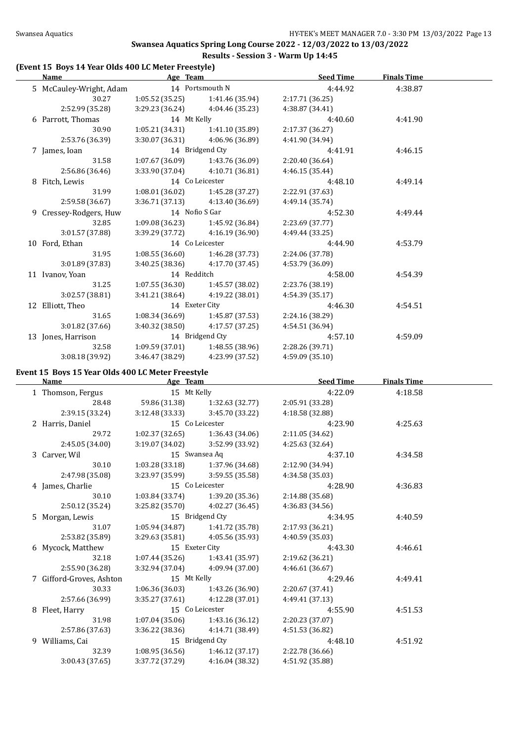#### **(Event 15 Boys 14 Year Olds 400 LC Meter Freestyle)**

| Name                    | Age Team        |                                     | <b>Seed Time</b> | <b>Finals Time</b> |  |
|-------------------------|-----------------|-------------------------------------|------------------|--------------------|--|
| 5 McCauley-Wright, Adam |                 | 14 Portsmouth N                     | 4:44.92          | 4:38.87            |  |
| 30.27                   |                 | $1:05.52(35.25)$ $1:41.46(35.94)$   | 2:17.71 (36.25)  |                    |  |
| 2:52.99 (35.28)         |                 | $3:29.23(36.24)$ $4:04.46(35.23)$   | 4:38.87 (34.41)  |                    |  |
| 6 Parrott, Thomas       | 14 Mt Kelly     |                                     | 4:40.60          | 4:41.90            |  |
| 30.90                   |                 | $1:05.21(34.31)$ $1:41.10(35.89)$   | 2:17.37 (36.27)  |                    |  |
| 2:53.76 (36.39)         |                 | $3:30.07(36.31)$ $4:06.96(36.89)$   | 4:41.90 (34.94)  |                    |  |
| 7 James, Ioan           |                 | 14 Bridgend Cty                     | 4:41.91          | 4:46.15            |  |
| 31.58                   |                 | $1:07.67(36.09)$ $1:43.76(36.09)$   | 2:20.40 (36.64)  |                    |  |
| 2:56.86(36.46)          |                 | $3:33.90(37.04)$ $4:10.71(36.81)$   | 4:46.15(35.44)   |                    |  |
| 8 Fitch, Lewis          |                 | 14 Co Leicester                     | 4:48.10          | 4:49.14            |  |
| 31.99                   |                 | $1:08.01(36.02)$ $1:45.28(37.27)$   | 2:22.91 (37.63)  |                    |  |
| 2:59.58 (36.67)         |                 | $3:36.71(37.13)$ $4:13.40(36.69)$   | 4:49.14 (35.74)  |                    |  |
| 9 Cressey-Rodgers, Huw  |                 | 14 Nofio S Gar                      | 4:52.30          | 4:49.44            |  |
| 32.85                   |                 | $1:09.08(36.23)$ $1:45.92(36.84)$   | 2:23.69(37.77)   |                    |  |
| 3:01.57(37.88)          |                 | $3:39.29(37.72)$ $4:16.19(36.90)$   | 4:49.44 (33.25)  |                    |  |
| 10 Ford, Ethan          |                 | 14 Co Leicester                     | 4:44.90          | 4:53.79            |  |
| 31.95                   |                 | $1:08.55(36.60)$ $1:46.28(37.73)$   | 2:24.06 (37.78)  |                    |  |
| 3:01.89(37.83)          |                 | $3:40.25(38.36)$ $4:17.70(37.45)$   | 4:53.79 (36.09)  |                    |  |
| 11 Ivanov, Yoan         | 14 Redditch     |                                     | 4:58.00          | 4:54.39            |  |
| 31.25                   |                 | $1:07.55(36.30)$ $1:45.57(38.02)$   | 2:23.76 (38.19)  |                    |  |
| 3:02.57(38.81)          |                 | $3:41.21(38.64)$ $4:19.22(38.01)$   | 4:54.39 (35.17)  |                    |  |
| 12 Elliott, Theo        |                 | 14 Exeter City                      | 4:46.30          | 4:54.51            |  |
| 31.65                   |                 | $1:08.34(36.69)$ $1:45.87(37.53)$   | 2:24.16 (38.29)  |                    |  |
| 3:01.82(37.66)          |                 | $3:40.32$ (38.50) $4:17.57$ (37.25) | 4:54.51 (36.94)  |                    |  |
| 13 Jones, Harrison      | 14 Bridgend Cty |                                     | 4:57.10          | 4:59.09            |  |
| 32.58                   |                 | $1:09.59(37.01)$ $1:48.55(38.96)$   | 2:28.26 (39.71)  |                    |  |
| 3:08.18(39.92)          | 3:46.47 (38.29) | 4:23.99 (37.52)                     | 4:59.09(35.10)   |                    |  |

### **Event 15 Boys 15 Year Olds 400 LC Meter Freestyle**

 $\mathcal{L}$ 

| Name                     | Age Team        |                                   | <b>Seed Time</b> | <b>Finals Time</b> |  |
|--------------------------|-----------------|-----------------------------------|------------------|--------------------|--|
| 1 Thomson, Fergus        | 15 Mt Kelly     |                                   | 4:22.09          | 4:18.58            |  |
| 28.48                    | 59.86 (31.38)   | 1:32.63 (32.77)                   | 2:05.91 (33.28)  |                    |  |
| 2:39.15 (33.24)          | 3:12.48 (33.33) | 3:45.70 (33.22)                   | 4:18.58 (32.88)  |                    |  |
| 2 Harris, Daniel         |                 | 15 Co Leicester                   | 4:23.90          | 4:25.63            |  |
| 29.72                    | 1:02.37(32.65)  | 1:36.43 (34.06)                   | 2:11.05 (34.62)  |                    |  |
| 2:45.05(34.00)           | 3:19.07(34.02)  | 3:52.99 (33.92)                   | 4:25.63 (32.64)  |                    |  |
| 3 Carver, Wil            |                 | 15 Swansea Aq                     | 4:37.10          | 4:34.58            |  |
| 30.10                    | 1:03.28 (33.18) | 1:37.96 (34.68)                   | 2:12.90 (34.94)  |                    |  |
| 2:47.98 (35.08)          |                 | $3:23.97(35.99)$ $3:59.55(35.58)$ | 4:34.58 (35.03)  |                    |  |
| 4 James, Charlie         |                 | 15 Co Leicester                   | 4:28.90          | 4:36.83            |  |
| 30.10                    | 1:03.84 (33.74) | 1:39.20 (35.36)                   | 2:14.88 (35.68)  |                    |  |
| 2:50.12 (35.24)          | 3:25.82 (35.70) | 4:02.27 (36.45)                   | 4:36.83(34.56)   |                    |  |
| 5 Morgan, Lewis          |                 | 15 Bridgend Cty                   | 4:34.95          | 4:40.59            |  |
| 31.07                    |                 | $1:05.94(34.87)$ $1:41.72(35.78)$ | 2:17.93 (36.21)  |                    |  |
| 2:53.82 (35.89)          |                 | $3:29.63(35.81)$ $4:05.56(35.93)$ | 4:40.59 (35.03)  |                    |  |
| 6 Mycock, Matthew        | 15 Exeter City  |                                   | 4:43.30          | 4:46.61            |  |
| 32.18                    |                 | $1:07.44(35.26)$ $1:43.41(35.97)$ | 2:19.62 (36.21)  |                    |  |
| 2:55.90 (36.28)          | 3:32.94 (37.04) | 4:09.94 (37.00)                   | 4:46.61(36.67)   |                    |  |
| 7 Gifford-Groves, Ashton | 15 Mt Kelly     |                                   | 4:29.46          | 4:49.41            |  |
| 30.33                    |                 | $1:06.36(36.03)$ $1:43.26(36.90)$ | 2:20.67 (37.41)  |                    |  |
| 2:57.66 (36.99)          | 3:35.27 (37.61) | 4:12.28 (37.01)                   | 4:49.41 (37.13)  |                    |  |
| 8 Fleet, Harry           |                 | 15 Co Leicester                   | 4:55.90          | 4:51.53            |  |
| 31.98                    | 1:07.04(35.06)  | 1:43.16 (36.12)                   | 2:20.23 (37.07)  |                    |  |
| 2:57.86 (37.63)          | 3:36.22 (38.36) | 4:14.71 (38.49)                   | 4:51.53 (36.82)  |                    |  |
| 9 Williams, Cai          |                 | 15 Bridgend Cty                   | 4:48.10          | 4:51.92            |  |
| 32.39                    | 1:08.95 (36.56) | 1:46.12 (37.17)                   | 2:22.78 (36.66)  |                    |  |
| 3:00.43 (37.65)          | 3:37.72 (37.29) | 4:16.04 (38.32)                   | 4:51.92 (35.88)  |                    |  |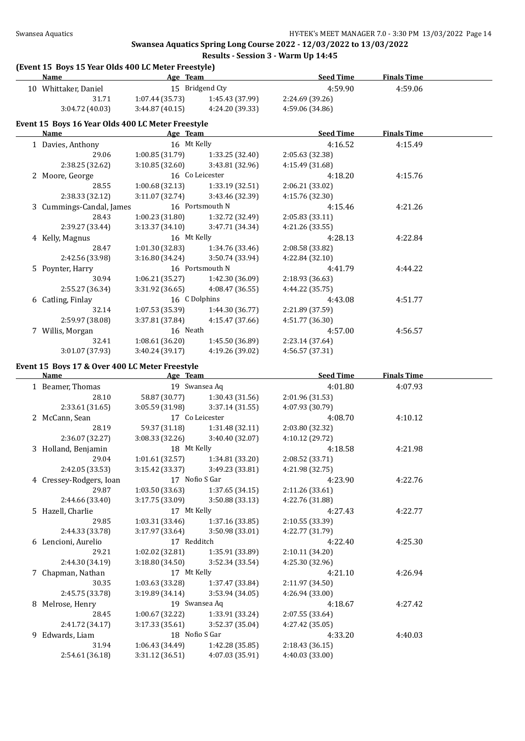## **Swansea Aquatics Spring Long Course 2022 - 12/03/2022 to 13/03/2022**

#### **Results - Session 3 - Warm Up 14:45 (Event 15 Boys 15 Year Olds 400 LC Meter Freestyle)**

| (Event 15 Boys 15 Year Olds 400 LC Meter Freestyle)<br>Name | Age Team        |                                   | <b>Seed Time</b> | <b>Finals Time</b> |  |
|-------------------------------------------------------------|-----------------|-----------------------------------|------------------|--------------------|--|
| 10 Whittaker, Daniel                                        |                 | 15 Bridgend Cty                   | 4:59.90          | 4:59.06            |  |
| 31.71                                                       | 1:07.44 (35.73) | 1:45.43 (37.99)                   | 2:24.69 (39.26)  |                    |  |
| 3:04.72(40.03)                                              | 3:44.87(40.15)  | 4:24.20 (39.33)                   | 4:59.06 (34.86)  |                    |  |
| Event 15 Boys 16 Year Olds 400 LC Meter Freestyle           |                 |                                   |                  |                    |  |
| <b>Name</b>                                                 | Age Team        |                                   | <b>Seed Time</b> | <b>Finals Time</b> |  |
| 1 Davies, Anthony                                           | 16 Mt Kelly     |                                   | 4:16.52          | 4:15.49            |  |
| 29.06                                                       |                 | $1:00.85(31.79)$ $1:33.25(32.40)$ | 2:05.63 (32.38)  |                    |  |
| 2:38.25 (32.62)                                             | 3:10.85(32.60)  | 3:43.81 (32.96)                   | 4:15.49 (31.68)  |                    |  |
| 2 Moore, George                                             |                 | 16 Co Leicester                   | 4:18.20          | 4:15.76            |  |
| 28.55                                                       |                 | $1:00.68(32.13)$ $1:33.19(32.51)$ | 2:06.21 (33.02)  |                    |  |
| 2:38.33 (32.12)                                             | 3:11.07(32.74)  | 3:43.46 (32.39)                   | 4:15.76 (32.30)  |                    |  |
| 3 Cummings-Candal, James                                    |                 | 16 Portsmouth N                   | 4:15.46          | 4:21.26            |  |
| 28.43                                                       |                 | 1:00.23 (31.80) 1:32.72 (32.49)   | 2:05.83(33.11)   |                    |  |
| 2:39.27 (33.44)                                             | 3:13.37(34.10)  | 3:47.71 (34.34)                   | 4:21.26 (33.55)  |                    |  |
| 4 Kelly, Magnus                                             | 16 Mt Kelly     |                                   | 4:28.13          | 4:22.84            |  |
| 28.47                                                       | 1:01.30(32.83)  | 1:34.76 (33.46)                   | 2:08.58 (33.82)  |                    |  |
| 2:42.56 (33.98)                                             | 3:16.80(34.24)  | 3:50.74 (33.94)                   | 4:22.84 (32.10)  |                    |  |
| 5 Poynter, Harry                                            |                 | 16 Portsmouth N                   | 4:41.79          | 4:44.22            |  |
| 30.94                                                       |                 | $1:06.21(35.27)$ $1:42.30(36.09)$ | 2:18.93 (36.63)  |                    |  |
| 2:55.27 (36.34)                                             | 3:31.92(36.65)  | 4:08.47 (36.55)                   | 4:44.22 (35.75)  |                    |  |
| 6 Catling, Finlay                                           | 16 C Dolphins   |                                   | 4:43.08          | 4:51.77            |  |
| 32.14                                                       |                 | $1:07.53(35.39)$ $1:44.30(36.77)$ | 2:21.89 (37.59)  |                    |  |
| 2:59.97 (38.08)                                             | 3:37.81(37.84)  | 4:15.47(37.66)                    | 4:51.77 (36.30)  |                    |  |
| 7 Willis, Morgan                                            | 16 Neath        |                                   | 4:57.00          | 4:56.57            |  |
| 32.41                                                       | 1:08.61(36.20)  | 1:45.50 (36.89)                   | 2:23.14 (37.64)  |                    |  |
| 3:01.07 (37.93)                                             | 3:40.24(39.17)  | 4:19.26 (39.02)                   | 4:56.57 (37.31)  |                    |  |
| Event 15 Boys 17 & Over 400 LC Meter Freestyle              |                 |                                   |                  |                    |  |
| Name                                                        | Age Team        |                                   | <b>Seed Time</b> | <b>Finals Time</b> |  |
| 1 Beamer, Thomas                                            |                 | 19 Swansea Aq                     | 4:01.80          | 4:07.93            |  |
| 28.10                                                       |                 | 58.87 (30.77) 1:30.43 (31.56)     | 2:01.96 (31.53)  |                    |  |

| 28.10                   | 58.87 (30.77)   | 1:30.43(31.56)  | 2:01.96 (31.53) |         |  |
|-------------------------|-----------------|-----------------|-----------------|---------|--|
| 2:33.61 (31.65)         | 3:05.59 (31.98) | 3:37.14(31.55)  | 4:07.93 (30.79) |         |  |
| 2 McCann, Sean          |                 | 17 Co Leicester | 4:08.70         | 4:10.12 |  |
| 28.19                   | 59.37 (31.18)   | 1:31.48(32.11)  | 2:03.80 (32.32) |         |  |
| 2:36.07 (32.27)         | 3:08.33(32.26)  | 3:40.40 (32.07) | 4:10.12 (29.72) |         |  |
| 3 Holland, Benjamin     | 18 Mt Kelly     |                 | 4:18.58         | 4:21.98 |  |
| 29.04                   | 1:01.61(32.57)  | 1:34.81(33.20)  | 2:08.52 (33.71) |         |  |
| 2:42.05 (33.53)         | 3:15.42 (33.37) | 3:49.23 (33.81) | 4:21.98 (32.75) |         |  |
| 4 Cressey-Rodgers, Ioan | 17 Nofio S Gar  |                 | 4:23.90         | 4:22.76 |  |
| 29.87                   | 1:03.50 (33.63) | 1:37.65 (34.15) | 2:11.26 (33.61) |         |  |
| 2:44.66 (33.40)         | 3:17.75 (33.09) | 3:50.88 (33.13) | 4:22.76 (31.88) |         |  |
| 5 Hazell, Charlie       | 17 Mt Kelly     |                 | 4:27.43         | 4:22.77 |  |
| 29.85                   | 1:03.31 (33.46) | 1:37.16 (33.85) | 2:10.55 (33.39) |         |  |
| 2:44.33 (33.78)         | 3:17.97 (33.64) | 3:50.98 (33.01) | 4:22.77 (31.79) |         |  |
| 6 Lencioni, Aurelio     | 17 Redditch     |                 | 4:22.40         | 4:25.30 |  |
| 29.21                   | 1:02.02 (32.81) | 1:35.91 (33.89) | 2:10.11 (34.20) |         |  |
| 2:44.30 (34.19)         | 3:18.80(34.50)  | 3:52.34(33.54)  | 4:25.30 (32.96) |         |  |
| 7 Chapman, Nathan       | 17 Mt Kelly     |                 | 4:21.10         | 4:26.94 |  |
| 30.35                   | 1:03.63(33.28)  | 1:37.47 (33.84) | 2:11.97(34.50)  |         |  |
| 2:45.75 (33.78)         | 3:19.89(34.14)  | 3:53.94 (34.05) | 4:26.94 (33.00) |         |  |
| 8 Melrose, Henry        |                 | 19 Swansea Aq   | 4:18.67         | 4:27.42 |  |
| 28.45                   | 1:00.67 (32.22) | 1:33.91 (33.24) | 2:07.55 (33.64) |         |  |
| 2:41.72 (34.17)         | 3:17.33(35.61)  | 3:52.37 (35.04) | 4:27.42 (35.05) |         |  |
| 9 Edwards, Liam         | 18 Nofio S Gar  |                 | 4:33.20         | 4:40.03 |  |
| 31.94                   | 1:06.43(34.49)  | 1:42.28(35.85)  | 2:18.43 (36.15) |         |  |
| 2:54.61 (36.18)         | 3:31.12 (36.51) | 4:07.03 (35.91) | 4:40.03 (33.00) |         |  |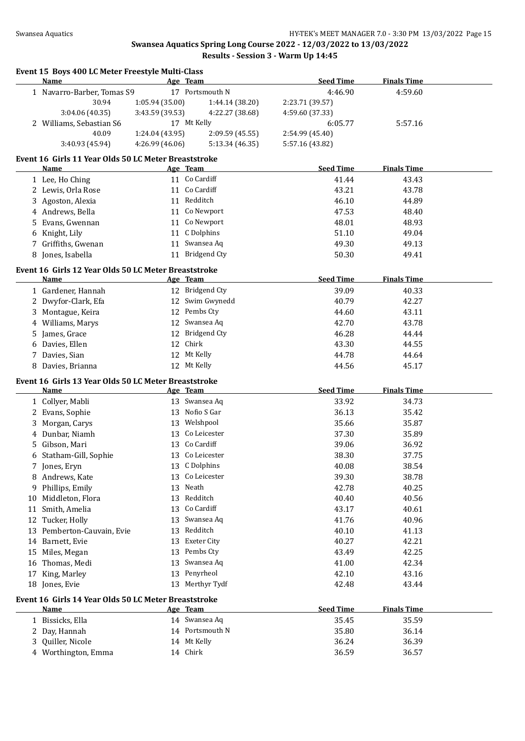|    | Event 15 Boys 400 LC Meter Freestyle Multi-Class<br>Name |                 | Age Team           | <b>Seed Time</b> | <b>Finals Time</b> |  |
|----|----------------------------------------------------------|-----------------|--------------------|------------------|--------------------|--|
|    | 1 Navarro-Barber, Tomas S9                               |                 | 17 Portsmouth N    | 4:46.90          | 4:59.60            |  |
|    | 30.94                                                    | 1:05.94 (35.00) | 1:44.14 (38.20)    | 2:23.71 (39.57)  |                    |  |
|    | 3:04.06 (40.35)                                          | 3:43.59 (39.53) | 4:22.27 (38.68)    | 4:59.60 (37.33)  |                    |  |
|    | 2 Williams, Sebastian S6                                 |                 | 17 Mt Kelly        | 6:05.77          | 5:57.16            |  |
|    | 40.09                                                    | 1:24.04 (43.95) | 2:09.59 (45.55)    | 2:54.99 (45.40)  |                    |  |
|    | 3:40.93 (45.94)                                          | 4:26.99 (46.06) | 5:13.34 (46.35)    | 5:57.16 (43.82)  |                    |  |
|    | Event 16 Girls 11 Year Olds 50 LC Meter Breaststroke     |                 |                    |                  |                    |  |
|    | Name                                                     |                 | Age Team           | <b>Seed Time</b> | <b>Finals Time</b> |  |
|    | 1 Lee, Ho Ching                                          |                 | 11 Co Cardiff      | 41.44            | 43.43              |  |
|    | 2 Lewis, Orla Rose                                       |                 | 11 Co Cardiff      | 43.21            | 43.78              |  |
|    | 3 Agoston, Alexia                                        |                 | 11 Redditch        | 46.10            | 44.89              |  |
|    | 4 Andrews, Bella                                         |                 | 11 Co Newport      | 47.53            | 48.40              |  |
| 5. | Evans, Gwennan                                           |                 | 11 Co Newport      | 48.01            | 48.93              |  |
|    | 6 Knight, Lily                                           |                 | 11 C Dolphins      | 51.10            | 49.04              |  |
|    | 7 Griffiths, Gwenan                                      |                 | 11 Swansea Aq      | 49.30            | 49.13              |  |
|    | 8 Jones, Isabella                                        |                 | 11 Bridgend Cty    | 50.30            | 49.41              |  |
|    |                                                          |                 |                    |                  |                    |  |
|    | Event 16 Girls 12 Year Olds 50 LC Meter Breaststroke     |                 |                    |                  |                    |  |
|    | Name                                                     |                 | Age Team           | <b>Seed Time</b> | <b>Finals Time</b> |  |
|    | 1 Gardener, Hannah                                       |                 | 12 Bridgend Cty    | 39.09            | 40.33              |  |
|    | 2 Dwyfor-Clark, Efa                                      |                 | 12 Swim Gwynedd    | 40.79            | 42.27              |  |
| 3. | Montague, Keira                                          |                 | 12 Pembs Cty       | 44.60            | 43.11              |  |
|    | 4 Williams, Marys                                        |                 | 12 Swansea Aq      | 42.70            | 43.78              |  |
| 5  | James, Grace                                             |                 | 12 Bridgend Cty    | 46.28            | 44.44              |  |
|    | 6 Davies, Ellen                                          |                 | 12 Chirk           | 43.30            | 44.55              |  |
| 7. | Davies, Sian                                             |                 | 12 Mt Kelly        | 44.78            | 44.64              |  |
|    | 8 Davies, Brianna                                        |                 | 12 Mt Kelly        | 44.56            | 45.17              |  |
|    | Event 16 Girls 13 Year Olds 50 LC Meter Breaststroke     |                 |                    |                  |                    |  |
|    | Name                                                     |                 | Age Team           | <b>Seed Time</b> | <b>Finals Time</b> |  |
|    | 1 Collyer, Mabli                                         |                 | 13 Swansea Aq      | 33.92            | 34.73              |  |
|    | 2 Evans, Sophie                                          |                 | 13 Nofio S Gar     | 36.13            | 35.42              |  |
| 3  | Morgan, Carys                                            |                 | 13 Welshpool       | 35.66            | 35.87              |  |
|    | 4 Dunbar, Niamh                                          |                 | 13 Co Leicester    | 37.30            | 35.89              |  |
| 5  | Gibson, Mari                                             |                 | 13 Co Cardiff      | 39.06            | 36.92              |  |
|    | 6 Statham-Gill, Sophie                                   |                 | 13 Co Leicester    | 38.30            | 37.75              |  |
|    | 7 Jones, Eryn                                            |                 | 13 C Dolphins      | 40.08            | 38.54              |  |
|    | 8 Andrews, Kate                                          | 13              | Co Leicester       | 39.30            | 38.78              |  |
|    | 9 Phillips, Emily                                        | 13              | Neath              | 42.78            | 40.25              |  |
|    | 10 Middleton, Flora                                      | 13              | Redditch           | 40.40            | 40.56              |  |
| 11 | Smith, Amelia                                            | 13              | Co Cardiff         | 43.17            | 40.61              |  |
|    | 12 Tucker, Holly                                         | 13              | Swansea Aq         | 41.76            | 40.96              |  |
|    | 13 Pemberton-Cauvain, Evie                               | 13              | Redditch           | 40.10            | 41.13              |  |
|    | 14 Barnett, Evie                                         | 13              | <b>Exeter City</b> | 40.27            | 42.21              |  |
|    | 15 Miles, Megan                                          | 13              | Pembs Cty          | 43.49            | 42.25              |  |
| 16 | Thomas, Medi                                             | 13              | Swansea Aq         | 41.00            | 42.34              |  |
| 17 | King, Marley                                             | 13              | Penyrheol          | 42.10            | 43.16              |  |
|    | 18 Jones, Evie                                           | 13              | Merthyr Tydf       | 42.48            | 43.44              |  |
|    |                                                          |                 |                    |                  |                    |  |
|    | Event 16 Girls 14 Year Olds 50 LC Meter Breaststroke     |                 |                    |                  |                    |  |
|    | <u>Name</u>                                              |                 | Age Team           | <b>Seed Time</b> | <b>Finals Time</b> |  |
|    | 1 Bissicks, Ella                                         |                 | 14 Swansea Aq      | 35.45            | 35.59              |  |
|    | 2 Day, Hannah                                            |                 | 14 Portsmouth N    | 35.80            | 36.14              |  |
| 3  | Quiller, Nicole                                          |                 | 14 Mt Kelly        | 36.24            | 36.39              |  |
|    | 4 Worthington, Emma                                      |                 | 14 Chirk           | 36.59            | 36.57              |  |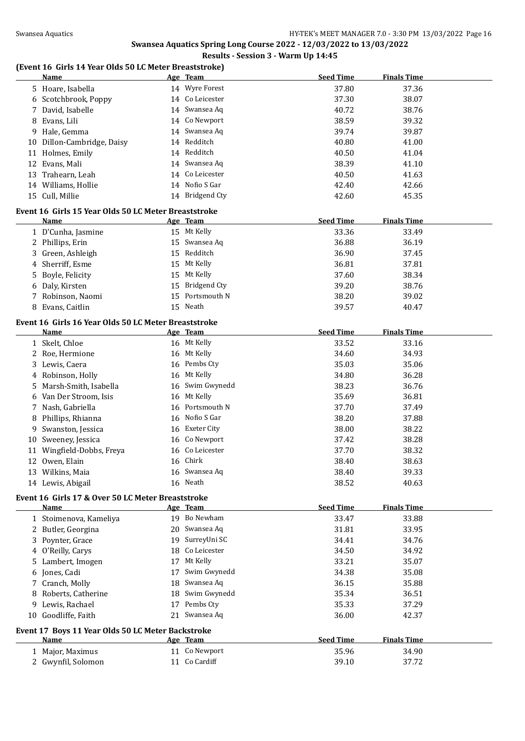## **Swansea Aquatics Spring Long Course 2022 - 12/03/2022 to 13/03/2022**

## **Results - Session 3 - Warm Up 14:45**

#### **(Event 16 Girls 14 Year Olds 50 LC Meter Breaststroke) Name Age Team Seed Time Finals Time**

|    | <u>Name</u>                                          | <u>Age leam</u> | <u>seea lime</u> | <u>rinais lime</u> |  |
|----|------------------------------------------------------|-----------------|------------------|--------------------|--|
|    | 5 Hoare, Isabella                                    | 14 Wyre Forest  | 37.80            | 37.36              |  |
| 6  | Scotchbrook, Poppy                                   | 14 Co Leicester | 37.30            | 38.07              |  |
| 7  | David, Isabelle                                      | 14 Swansea Aq   | 40.72            | 38.76              |  |
| 8  | Evans, Lili                                          | 14 Co Newport   | 38.59            | 39.32              |  |
| 9  | Hale, Gemma                                          | 14 Swansea Aq   | 39.74            | 39.87              |  |
|    | 10 Dillon-Cambridge, Daisy                           | 14 Redditch     | 40.80            | 41.00              |  |
|    | 11 Holmes, Emily                                     | 14 Redditch     | 40.50            | 41.04              |  |
|    | 12 Evans, Mali                                       | 14 Swansea Aq   | 38.39            | 41.10              |  |
|    | 13 Trahearn, Leah                                    | 14 Co Leicester | 40.50            | 41.63              |  |
|    | 14 Williams, Hollie                                  | 14 Nofio S Gar  | 42.40            | 42.66              |  |
|    | 15 Cull, Millie                                      | 14 Bridgend Cty | 42.60            | 45.35              |  |
|    | Event 16 Girls 15 Year Olds 50 LC Meter Breaststroke |                 |                  |                    |  |
|    | Name                                                 | Age Team        | <b>Seed Time</b> | <b>Finals Time</b> |  |
|    | 1 D'Cunha, Jasmine                                   | 15 Mt Kelly     | 33.36            | 33.49              |  |
|    | 2 Phillips, Erin                                     | 15 Swansea Aq   | 36.88            | 36.19              |  |
| 3  | Green, Ashleigh                                      | 15 Redditch     | 36.90            | 37.45              |  |
|    | Sherriff, Esme                                       | 15 Mt Kelly     | 36.81            | 37.81              |  |
| 4  |                                                      | 15 Mt Kelly     | 37.60            |                    |  |
| 5  | Boyle, Felicity                                      | 15 Bridgend Cty | 39.20            | 38.34              |  |
| 6  | Daly, Kirsten                                        | 15 Portsmouth N |                  | 38.76              |  |
| 7  | Robinson, Naomi                                      |                 | 38.20            | 39.02              |  |
|    | 8 Evans, Caitlin                                     | 15 Neath        | 39.57            | 40.47              |  |
|    | Event 16 Girls 16 Year Olds 50 LC Meter Breaststroke |                 |                  |                    |  |
|    | <u>Name</u>                                          | Age Team        | <b>Seed Time</b> | <b>Finals Time</b> |  |
|    | 1 Skelt, Chloe                                       | 16 Mt Kelly     | 33.52            | 33.16              |  |
|    | 2 Roe, Hermione                                      | 16 Mt Kelly     | 34.60            | 34.93              |  |
|    | 3 Lewis, Caera                                       | 16 Pembs Cty    | 35.03            | 35.06              |  |
|    | 4 Robinson, Holly                                    | 16 Mt Kelly     | 34.80            | 36.28              |  |
| 5  | Marsh-Smith, Isabella                                | 16 Swim Gwynedd | 38.23            | 36.76              |  |
| 6  | Van Der Stroom, Isis                                 | 16 Mt Kelly     | 35.69            | 36.81              |  |
| 7  | Nash, Gabriella                                      | 16 Portsmouth N | 37.70            | 37.49              |  |
| 8  | Phillips, Rhianna                                    | 16 Nofio S Gar  | 38.20            | 37.88              |  |
| 9  | Swanston, Jessica                                    | 16 Exeter City  | 38.00            | 38.22              |  |
| 10 | Sweeney, Jessica                                     | 16 Co Newport   | 37.42            | 38.28              |  |
| 11 | Wingfield-Dobbs, Freya                               | 16 Co Leicester | 37.70            | 38.32              |  |
|    | 12 Owen, Elain                                       | 16 Chirk        | 38.40            | 38.63              |  |
|    | 13 Wilkins, Maia                                     | 16 Swansea Aq   | 38.40            | 39.33              |  |
|    | 14 Lewis, Abigail                                    | 16 Neath        | 38.52            | 40.63              |  |
|    | Event 16 Girls 17 & Over 50 LC Meter Breaststroke    |                 |                  |                    |  |
|    | Name                                                 | Age Team        | <b>Seed Time</b> | <b>Finals Time</b> |  |
|    | 1 Stoimenova, Kameliya                               | 19 Bo Newham    | 33.47            | 33.88              |  |
|    | 2 Butler, Georgina                                   | 20 Swansea Aq   | 31.81            | 33.95              |  |
|    | 3 Poynter, Grace                                     | 19 SurreyUni SC | 34.41            | 34.76              |  |
|    | 4 O'Reilly, Carys                                    | 18 Co Leicester | 34.50            | 34.92              |  |
| 5  | Lambert, Imogen                                      | 17 Mt Kelly     | 33.21            | 35.07              |  |
| 6  | Jones, Cadi                                          | 17 Swim Gwynedd | 34.38            | 35.08              |  |
|    |                                                      | 18 Swansea Aq   | 36.15            |                    |  |
| 7  | Cranch, Molly<br>Roberts, Catherine                  | 18 Swim Gwynedd | 35.34            | 35.88<br>36.51     |  |
| 8  |                                                      | 17 Pembs Cty    |                  |                    |  |
| 9  | Lewis, Rachael<br>10 Goodliffe, Faith                | 21 Swansea Aq   | 35.33            | 37.29              |  |
|    |                                                      |                 | 36.00            | 42.37              |  |
|    | Event 17 Boys 11 Year Olds 50 LC Meter Backstroke    |                 |                  |                    |  |
|    | Name                                                 | Age Team        | <b>Seed Time</b> | <b>Finals Time</b> |  |
|    | 1 Major, Maximus                                     | 11 Co Newport   | 35.96            | 34.90              |  |
|    | 2 Gwynfil, Solomon                                   | 11 Co Cardiff   | 39.10            | 37.72              |  |
|    |                                                      |                 |                  |                    |  |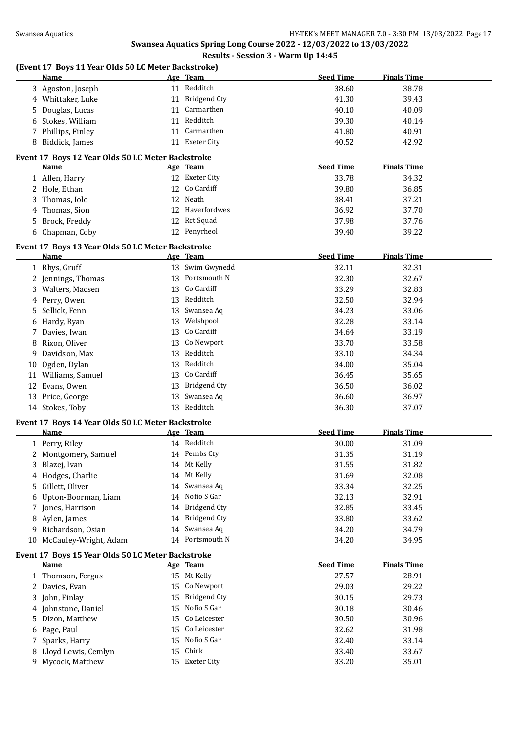| (Event 17 Boys 11 Year Olds 50 LC Meter Backstroke)<br>Name | Age Team        | <b>Seed Time</b> | <b>Finals Time</b> |
|-------------------------------------------------------------|-----------------|------------------|--------------------|
| 3 Agoston, Joseph                                           | 11 Redditch     | 38.60            | 38.78              |
| 4 Whittaker, Luke                                           | 11 Bridgend Cty | 41.30            | 39.43              |
| 5 Douglas, Lucas                                            | 11 Carmarthen   | 40.10            | 40.09              |
| 6 Stokes, William                                           | 11 Redditch     | 39.30            | 40.14              |
| 7 Phillips, Finley                                          | 11 Carmarthen   | 41.80            | 40.91              |
| 8 Biddick, James                                            | 11 Exeter City  | 40.52            | 42.92              |
|                                                             |                 |                  |                    |
| Event 17 Boys 12 Year Olds 50 LC Meter Backstroke<br>Name   | Age Team        | <b>Seed Time</b> | <b>Finals Time</b> |
| 1 Allen, Harry                                              | 12 Exeter City  | 33.78            | 34.32              |
| 2 Hole, Ethan                                               | 12 Co Cardiff   | 39.80            | 36.85              |
| 3 Thomas, Iolo                                              | 12 Neath        | 38.41            | 37.21              |
|                                                             | 12 Haverfordwes | 36.92            | 37.70              |
| 4 Thomas, Sion                                              |                 |                  |                    |
| 5 Brock, Freddy                                             | 12 Rct Squad    | 37.98            | 37.76              |
| 6 Chapman, Coby                                             | 12 Penyrheol    | 39.40            | 39.22              |
| Event 17 Boys 13 Year Olds 50 LC Meter Backstroke           |                 |                  |                    |
| Name                                                        | Age Team        | <b>Seed Time</b> | <b>Finals Time</b> |
| 1 Rhys, Gruff                                               | 13 Swim Gwynedd | 32.11            | 32.31              |
| 2 Jennings, Thomas                                          | 13 Portsmouth N | 32.30            | 32.67              |
| 3 Walters, Macsen                                           | 13 Co Cardiff   | 33.29            | 32.83              |
| 4 Perry, Owen                                               | 13 Redditch     | 32.50            | 32.94              |
| 5 Sellick, Fenn                                             | 13 Swansea Aq   | 34.23            | 33.06              |
| 6 Hardy, Ryan                                               | 13 Welshpool    | 32.28            | 33.14              |
| 7 Davies, Iwan                                              | 13 Co Cardiff   | 34.64            | 33.19              |
| 8 Rixon, Oliver                                             | 13 Co Newport   | 33.70            | 33.58              |
| 9 Davidson, Max                                             | 13 Redditch     | 33.10            | 34.34              |
| 10 Ogden, Dylan                                             | 13 Redditch     | 34.00            | 35.04              |
| 11 Williams, Samuel                                         | 13 Co Cardiff   | 36.45            | 35.65              |
| 12 Evans, Owen                                              | 13 Bridgend Cty | 36.50            | 36.02              |
| 13 Price, George                                            | 13 Swansea Aq   | 36.60            | 36.97              |
| 14 Stokes, Toby                                             | 13 Redditch     | 36.30            | 37.07              |
| Event 17 Boys 14 Year Olds 50 LC Meter Backstroke           |                 |                  |                    |
| Name                                                        | Age Team        | <b>Seed Time</b> | <b>Finals Time</b> |
| 1 Perry, Riley                                              | 14 Redditch     | 30.00            | 31.09              |
| 2 Montgomery, Samuel                                        | 14 Pembs Cty    | 31.35            | 31.19              |
| 3 Blazej, Ivan                                              | 14 Mt Kelly     | 31.55            | 31.82              |
| 4 Hodges, Charlie                                           | 14 Mt Kelly     | 31.69            | 32.08              |
| 5 Gillett, Oliver                                           | 14 Swansea Aq   | 33.34            | 32.25              |
| 6 Upton-Boorman, Liam                                       | 14 Nofio S Gar  | 32.13            | 32.91              |
| 7 Jones, Harrison                                           | 14 Bridgend Cty | 32.85            | 33.45              |
| 8 Aylen, James                                              | 14 Bridgend Cty | 33.80            | 33.62              |
| 9 Richardson, Osian                                         | 14 Swansea Aq   | 34.20            | 34.79              |
| 10 McCauley-Wright, Adam                                    | 14 Portsmouth N | 34.20            | 34.95              |
| Event 17 Boys 15 Year Olds 50 LC Meter Backstroke           |                 |                  |                    |
| <b>Name</b>                                                 | Age Team        | <b>Seed Time</b> | <b>Finals Time</b> |
| 1 Thomson, Fergus                                           | 15 Mt Kelly     | 27.57            | 28.91              |
| 2 Davies, Evan                                              | 15 Co Newport   | 29.03            | 29.22              |
| 3 John, Finlay                                              | 15 Bridgend Cty | 30.15            | 29.73              |
| 4 Johnstone, Daniel                                         | 15 Nofio S Gar  | 30.18            | 30.46              |
| 5 Dizon, Matthew                                            | 15 Co Leicester | 30.50            | 30.96              |
| 6 Page, Paul                                                | 15 Co Leicester | 32.62            | 31.98              |
| 7 Sparks, Harry                                             | 15 Nofio S Gar  | 32.40            | 33.14              |
|                                                             | 15 Chirk        | 33.40            | 33.67              |
| 8 Lloyd Lewis, Cemlyn                                       |                 |                  |                    |
| 9 Mycock, Matthew                                           | 15 Exeter City  | 33.20            | 35.01              |